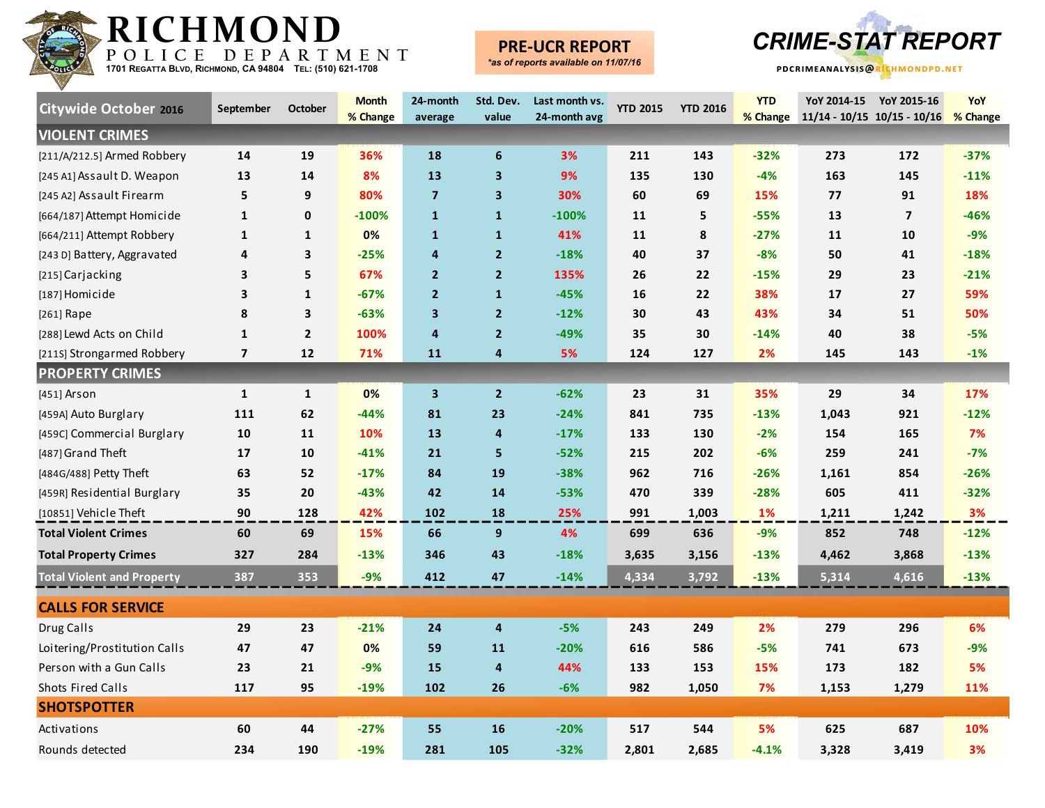

## **PRE-UCR REPORT**



| <b>Citywide October 2016</b>      | September               | October      | <b>Month</b><br>% Change | 24-month<br>average | Std. Dev.<br>value      | Last month vs.<br>24-month avg | <b>YTD 2015</b> | <b>YTD 2016</b> | <b>YTD</b><br>% Change | YoY 2014-15   | YoY 2015-16<br>$11/14 - 10/15$ $10/15 - 10/16$ | YoY<br>% Change |
|-----------------------------------|-------------------------|--------------|--------------------------|---------------------|-------------------------|--------------------------------|-----------------|-----------------|------------------------|---------------|------------------------------------------------|-----------------|
| <b>VIOLENT CRIMES</b>             |                         |              |                          |                     |                         |                                |                 |                 |                        |               |                                                |                 |
| [211/A/212.5] Armed Robbery       | 14                      | 19           | 36%                      | 18                  | 6                       | 3%                             | 211             | 143             | $-32%$                 | 273           | 172                                            | $-37%$          |
| [245 A1] Assault D. Weapon        | 13                      | 14           | 8%                       | 13                  | 3                       | 9%                             | 135             | 130             | $-4%$                  | 163           | 145                                            | $-11%$          |
| [245 A2] Assault Firearm          | 5                       | 9            | 80%                      | $\overline{7}$      | $\overline{\mathbf{3}}$ | 30%                            | 60              | 69              | 15%                    | 77            | 91                                             | 18%             |
| [664/187] Attempt Homicide        | $\mathbf{1}$            | 0            | $-100%$                  | $\mathbf{1}$        | $\mathbf{1}$            | $-100%$                        | 11              | 5               | $-55%$                 | 13            | $\overline{7}$                                 | $-46%$          |
| [664/211] Attempt Robbery         | $\mathbf{1}$            | 1            | 0%                       | $\mathbf{1}$        | $\mathbf{1}$            | 41%                            | 11              | 8               | $-27%$                 | $\mathbf{11}$ | 10                                             | $-9%$           |
| [243 D] Battery, Aggravated       | 4                       | 3            | $-25%$                   | $\overline{a}$      | $\overline{2}$          | $-18%$                         | 40              | 37              | $-8%$                  | 50            | 41                                             | $-18%$          |
| [215] Carjacking                  | 3                       | 5            | 67%                      | $\overline{2}$      | $\overline{2}$          | 135%                           | 26              | 22              | $-15%$                 | 29            | 23                                             | $-21%$          |
| [187] Homicide                    | $\overline{\mathbf{3}}$ | 1            | $-67%$                   | $\overline{2}$      | $\mathbf{1}$            | $-45%$                         | 16              | 22              | 38%                    | 17            | 27                                             | 59%             |
| [261] Rape                        | 8                       | 3            | $-63%$                   | $\mathbf{3}$        | $\overline{2}$          | $-12%$                         | 30              | 43              | 43%                    | 34            | 51                                             | 50%             |
| [288] Lewd Acts on Child          | $\mathbf{1}$            | $\mathbf{2}$ | 100%                     | $\overline{4}$      | $\overline{2}$          | $-49%$                         | 35              | 30              | $-14%$                 | 40            | 38                                             | $-5%$           |
| [211S] Strongarmed Robbery        | $\overline{7}$          | 12           | 71%                      | 11                  | $\overline{4}$          | 5%                             | 124             | 127             | 2%                     | 145           | 143                                            | $-1%$           |
| <b>PROPERTY CRIMES</b>            |                         |              |                          |                     |                         |                                |                 |                 |                        |               |                                                |                 |
| $[451]$ Arson                     | $\mathbf{1}$            | $\mathbf{1}$ | 0%                       | $\mathbf{3}$        | $\overline{2}$          | $-62%$                         | 23              | 31              | 35%                    | 29            | 34                                             | 17%             |
| [459A] Auto Burglary              | 111                     | 62           | $-44%$                   | 81                  | 23                      | $-24%$                         | 841             | 735             | $-13%$                 | 1,043         | 921                                            | $-12%$          |
| [459C] Commercial Burglary        | 10                      | 11           | 10%                      | 13                  | $\overline{\mathbf{4}}$ | $-17%$                         | 133             | 130             | $-2%$                  | 154           | 165                                            | 7%              |
| [487] Grand Theft                 | 17                      | 10           | $-41%$                   | 21                  | 5                       | $-52%$                         | 215             | 202             | $-6%$                  | 259           | 241                                            | $-7%$           |
| [484G/488] Petty Theft            | 63                      | 52           | $-17%$                   | 84                  | 19                      | $-38%$                         | 962             | 716             | $-26%$                 | 1,161         | 854                                            | $-26%$          |
| [459R] Residential Burglary       | 35                      | 20           | $-43%$                   | 42                  | 14                      | $-53%$                         | 470             | 339             | $-28%$                 | 605           | 411                                            | $-32%$          |
| [10851] Vehicle Theft             | 90                      | 128          | 42%                      | 102                 | 18                      | 25%                            | 991             | 1,003           | 1%                     | 1,211         | 1,242                                          | 3%              |
| <b>Total Violent Crimes</b>       | 60                      | 69           | 15%                      | 66                  | $\mathbf{9}$            | 4%                             | 699             | 636             | $-9%$                  | 852           | 748                                            | $-12%$          |
| <b>Total Property Crimes</b>      | 327                     | 284          | $-13%$                   | 346                 | 43                      | $-18%$                         | 3,635           | 3,156           | $-13%$                 | 4,462         | 3,868                                          | $-13%$          |
| <b>Total Violent and Property</b> | 387                     | 353          | $-9%$                    | 412                 | 47                      | $-14%$                         | 4,334           | 3,792           | $-13%$                 | 5,314         | 4,616                                          | $-13%$          |
| <b>CALLS FOR SERVICE</b>          |                         |              |                          |                     |                         |                                |                 |                 |                        |               |                                                |                 |
| Drug Calls                        | 29                      | 23           | $-21%$                   | 24                  | $\overline{4}$          | $-5%$                          | 243             | 249             | 2%                     | 279           | 296                                            | 6%              |
| Loitering/Prostitution Calls      | 47                      | 47           | 0%                       | 59                  | 11                      | $-20%$                         | 616             | 586             | $-5%$                  | 741           | 673                                            | -9%             |
| Person with a Gun Calls           | 23                      | 21           | $-9%$                    | 15                  | $\overline{\mathbf{4}}$ | 44%                            | 133             | 153             | 15%                    | 173           | 182                                            | 5%              |
| <b>Shots Fired Calls</b>          | 117                     | 95           | $-19%$                   | 102                 | 26                      | $-6%$                          | 982             | 1,050           | 7%                     | 1,153         | 1,279                                          | 11%             |
| <b>SHOTSPOTTER</b>                |                         |              |                          |                     |                         |                                |                 |                 |                        |               |                                                |                 |
| Activations                       | 60                      | 44           | $-27%$                   | 55                  | 16                      | $-20%$                         | 517             | 544             | 5%                     | 625           | 687                                            | 10%             |
| Rounds detected                   | 234                     | 190          | $-19%$                   | 281                 | 105                     | $-32%$                         | 2,801           | 2,685           | $-4.1%$                | 3,328         | 3,419                                          | 3%              |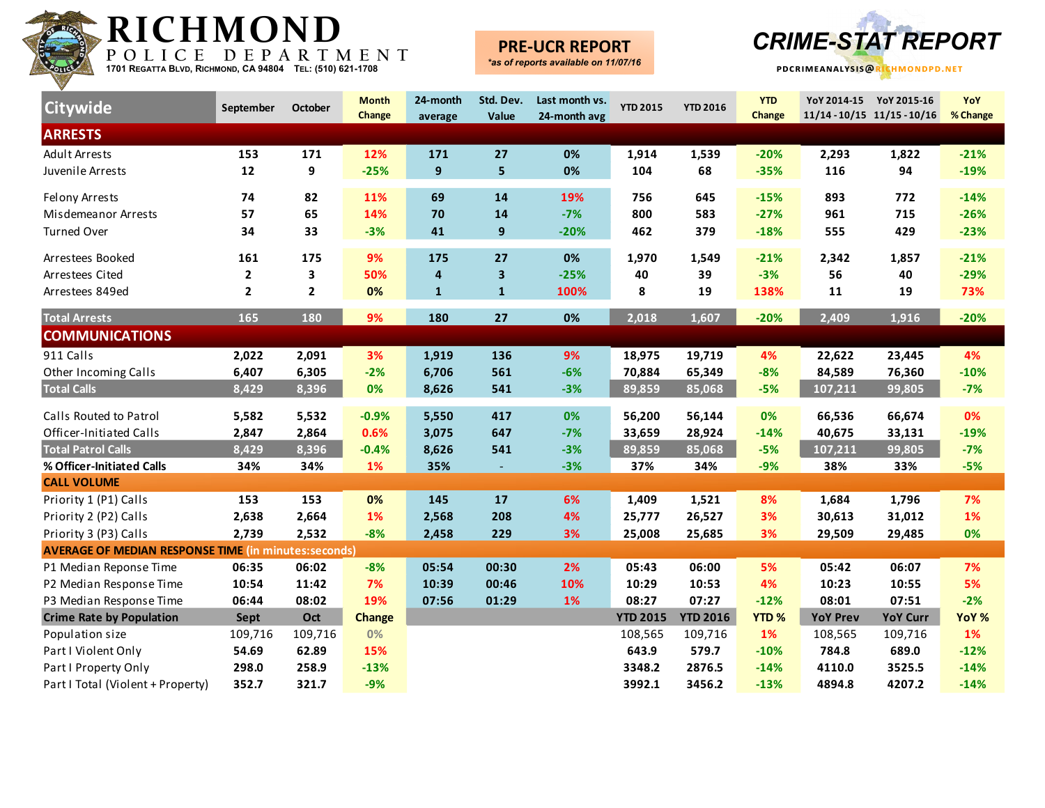

### **PRE-UCR REPORT**



| Citywide                                                    | September    | <b>October</b>          | <b>Month</b><br>Change | 24-month<br>average | Std. Dev.<br>Value | Last month vs.<br>24-month avg | <b>YTD 2015</b> | <b>YTD 2016</b> | <b>YTD</b><br>Change |                 | YoY 2014-15 YoY 2015-16<br>11/14-10/15 11/15-10/16 | YoY<br>% Change |
|-------------------------------------------------------------|--------------|-------------------------|------------------------|---------------------|--------------------|--------------------------------|-----------------|-----------------|----------------------|-----------------|----------------------------------------------------|-----------------|
| <b>ARRESTS</b>                                              |              |                         |                        |                     |                    |                                |                 |                 |                      |                 |                                                    |                 |
| <b>Adult Arrests</b>                                        | 153          | 171                     | 12%                    | 171                 | 27                 | 0%                             | 1,914           | 1,539           | $-20%$               | 2,293           | 1,822                                              | $-21%$          |
| Juvenile Arrests                                            | 12           | 9                       | $-25%$                 | $\boldsymbol{9}$    | 5                  | 0%                             | 104             | 68              | $-35%$               | 116             | 94                                                 | $-19%$          |
| Felony Arrests                                              | 74           | 82                      | 11%                    | 69                  | 14                 | 19%                            | 756             | 645             | $-15%$               | 893             | 772                                                | $-14%$          |
| Misdemeanor Arrests                                         | 57           | 65                      | 14%                    | 70                  | 14                 | $-7%$                          | 800             | 583             | $-27%$               | 961             | 715                                                | $-26%$          |
| <b>Turned Over</b>                                          | 34           | 33                      | $-3%$                  | 41                  | 9                  | $-20%$                         | 462             | 379             | $-18%$               | 555             | 429                                                | $-23%$          |
| Arrestees Booked                                            | 161          | 175                     | 9%                     | 175                 | 27                 | 0%                             | 1,970           | 1,549           | $-21%$               | 2,342           | 1,857                                              | $-21%$          |
| Arrestees Cited                                             | $\mathbf{2}$ | $\overline{\mathbf{3}}$ | 50%                    | 4                   | 3                  | $-25%$                         | 40              | 39              | $-3%$                | 56              | 40                                                 | $-29%$          |
| Arrestees 849ed                                             | $\mathbf{2}$ | $\overline{2}$          | 0%                     | $\mathbf{1}$        | $\mathbf{1}$       | 100%                           | 8               | 19              | 138%                 | 11              | 19                                                 | 73%             |
| <b>Total Arrests</b>                                        | 165          | 180                     | 9%                     | 180                 | 27                 | 0%                             | 2,018           | 1,607           | $-20%$               | 2,409           | 1,916                                              | $-20%$          |
| <b>COMMUNICATIONS</b>                                       |              |                         |                        |                     |                    |                                |                 |                 |                      |                 |                                                    |                 |
| 911 Calls                                                   | 2,022        | 2,091                   | 3%                     | 1,919               | 136                | 9%                             | 18,975          | 19,719          | 4%                   | 22,622          | 23,445                                             | 4%              |
| Other Incoming Calls                                        | 6,407        | 6,305                   | $-2%$                  | 6,706               | 561                | $-6%$                          | 70,884          | 65,349          | $-8%$                | 84,589          | 76,360                                             | $-10%$          |
| <b>Total Calls</b>                                          | 8,429        | 8,396                   | 0%                     | 8,626               | 541                | $-3%$                          | 89,859          | 85,068          | $-5%$                | 107,211         | 99,805                                             | $-7%$           |
| Calls Routed to Patrol                                      | 5,582        | 5,532                   | $-0.9%$                | 5,550               | 417                | 0%                             | 56,200          | 56,144          | 0%                   | 66,536          | 66,674                                             | 0%              |
| Officer-Initiated Calls                                     | 2,847        | 2,864                   | 0.6%                   | 3,075               | 647                | $-7%$                          | 33,659          | 28,924          | $-14%$               | 40,675          | 33,131                                             | $-19%$          |
| <b>Total Patrol Calls</b>                                   | 8,429        | 8,396                   | $-0.4%$                | 8,626               | 541                | $-3%$                          | 89,859          | 85,068          | $-5%$                | 107,211         | 99,805                                             | $-7%$           |
| % Officer-Initiated Calls                                   | 34%          | 34%                     | 1%                     | 35%                 | $\blacksquare$     | $-3%$                          | 37%             | 34%             | $-9%$                | 38%             | 33%                                                | $-5%$           |
| <b>CALL VOLUME</b>                                          |              |                         |                        |                     |                    |                                |                 |                 |                      |                 |                                                    |                 |
| Priority 1 (P1) Calls                                       | 153          | 153                     | 0%                     | 145                 | 17                 | 6%                             | 1,409           | 1,521           | 8%                   | 1,684           | 1,796                                              | 7%              |
| Priority 2 (P2) Calls                                       | 2,638        | 2,664                   | 1%                     | 2,568               | 208                | 4%                             | 25,777          | 26,527          | 3%                   | 30,613          | 31,012                                             | 1%              |
| Priority 3 (P3) Calls                                       | 2,739        | 2,532                   | $-8%$                  | 2,458               | 229                | 3%                             | 25,008          | 25,685          | 3%                   | 29,509          | 29,485                                             | 0%              |
| <b>AVERAGE OF MEDIAN RESPONSE TIME (in minutes:seconds)</b> |              |                         |                        |                     |                    |                                |                 |                 |                      |                 |                                                    |                 |
| P1 Median Reponse Time                                      | 06:35        | 06:02                   | $-8%$                  | 05:54               | 00:30              | 2%                             | 05:43           | 06:00           | 5%                   | 05:42           | 06:07                                              | 7%              |
| P2 Median Response Time                                     | 10:54        | 11:42                   | 7%                     | 10:39               | 00:46              | 10%                            | 10:29           | 10:53           | 4%                   | 10:23           | 10:55                                              | 5%              |
| P3 Median Response Time                                     | 06:44        | 08:02                   | 19%                    | 07:56               | 01:29              | 1%                             | 08:27           | 07:27           | $-12%$               | 08:01           | 07:51                                              | $-2%$           |
| <b>Crime Rate by Population</b>                             | Sept         | Oct                     | <b>Change</b>          |                     |                    |                                | <b>YTD 2015</b> | <b>YTD 2016</b> | <b>YTD%</b>          | <b>YoY Prev</b> | <b>YoY Curr</b>                                    | YoY %           |
| Population size                                             | 109,716      | 109,716                 | 0%                     |                     |                    |                                | 108,565         | 109,716         | 1%                   | 108,565         | 109,716                                            | 1%              |
| Part I Violent Only                                         | 54.69        | 62.89                   | 15%                    |                     |                    |                                | 643.9           | 579.7           | $-10%$               | 784.8           | 689.0                                              | $-12%$          |
| Part I Property Only                                        | 298.0        | 258.9                   | $-13%$                 |                     |                    |                                | 3348.2          | 2876.5          | $-14%$               | 4110.0          | 3525.5                                             | $-14%$          |
| Part I Total (Violent + Property)                           | 352.7        | 321.7                   | $-9%$                  |                     |                    |                                | 3992.1          | 3456.2          | $-13%$               | 4894.8          | 4207.2                                             | $-14%$          |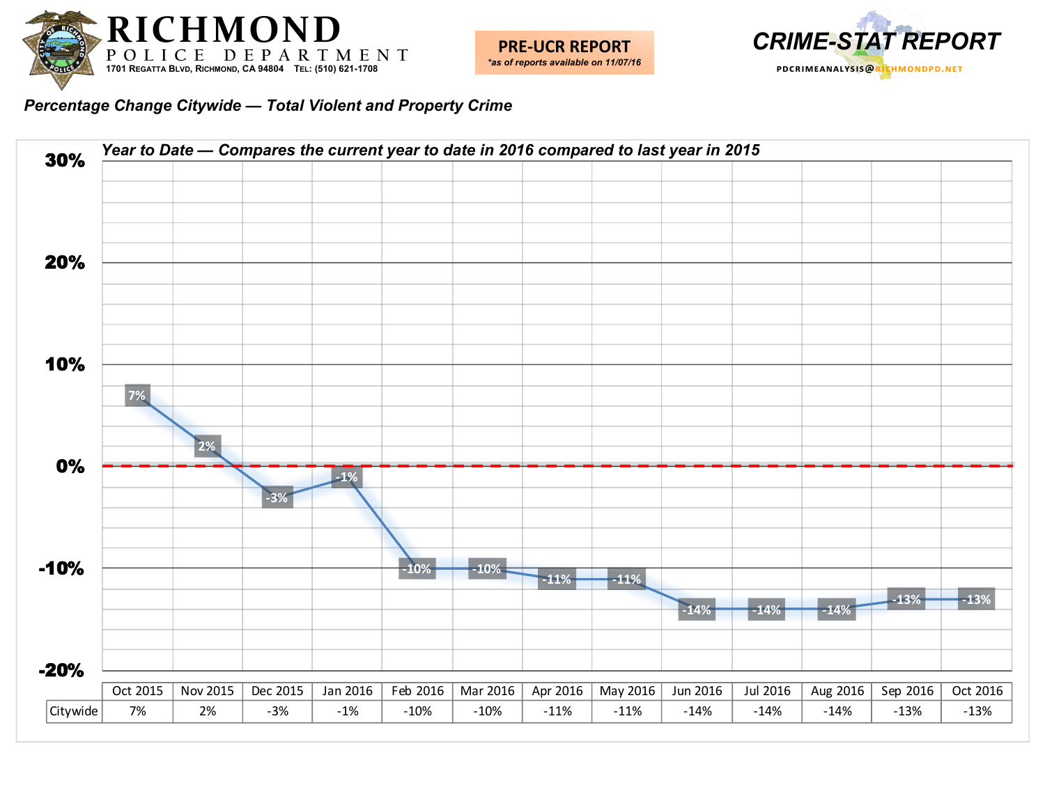



*Percentage Change Citywide — Total Violent and Property Crime*

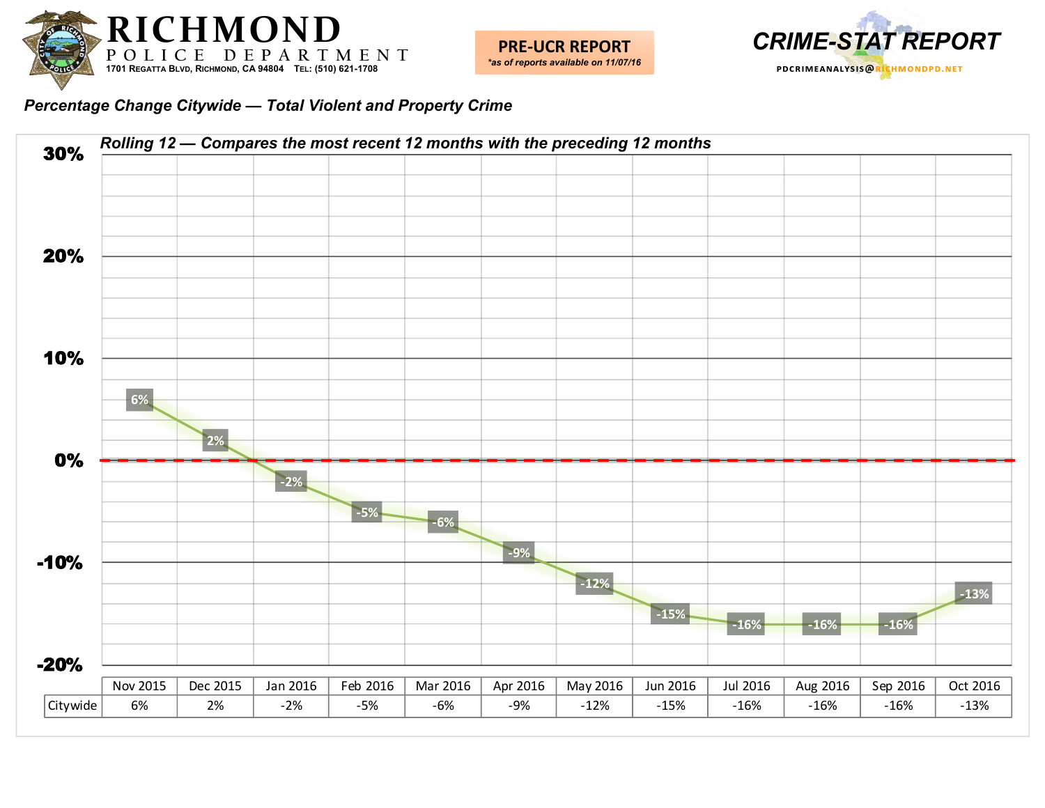



*Percentage Change Citywide — Total Violent and Property Crime*

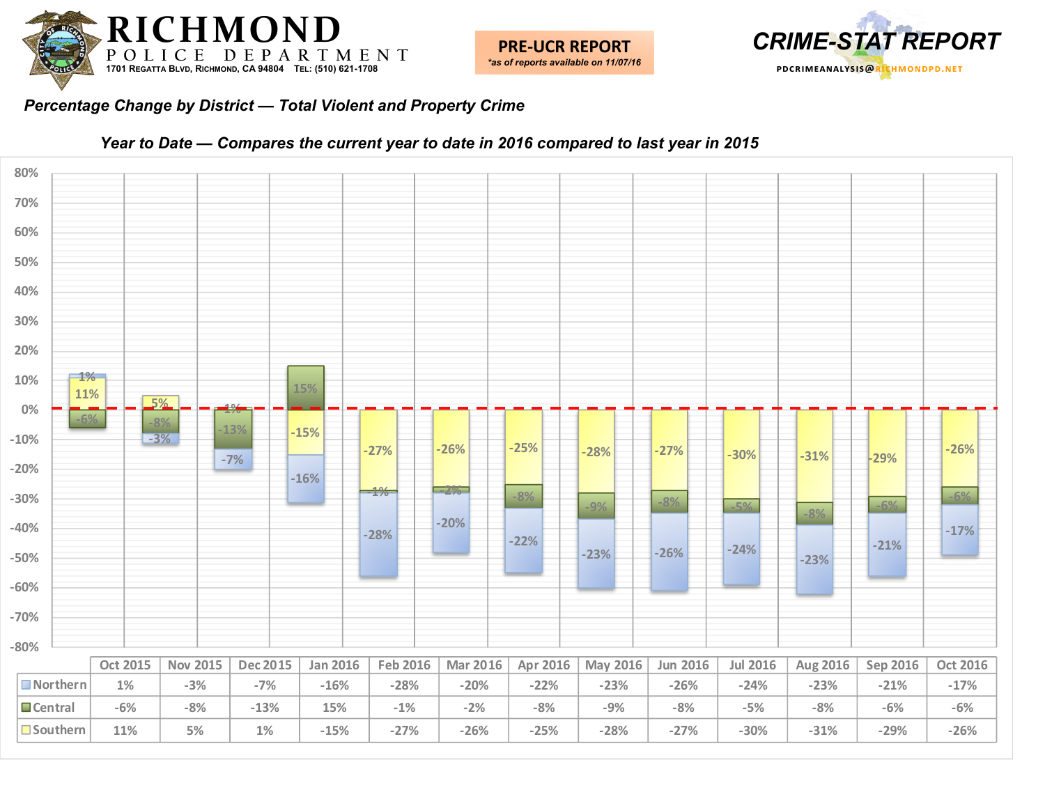



#### *Percentage Change by District — Total Violent and Property Crime*



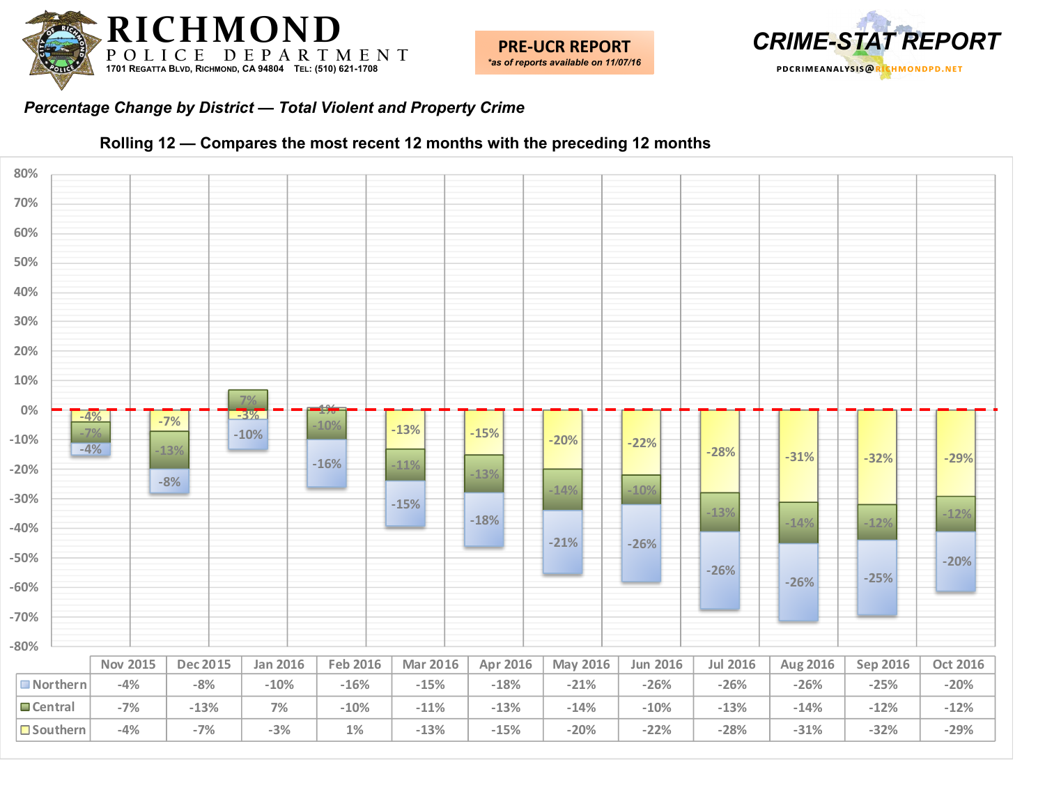



#### *Percentage Change by District — Total Violent and Property Crime*



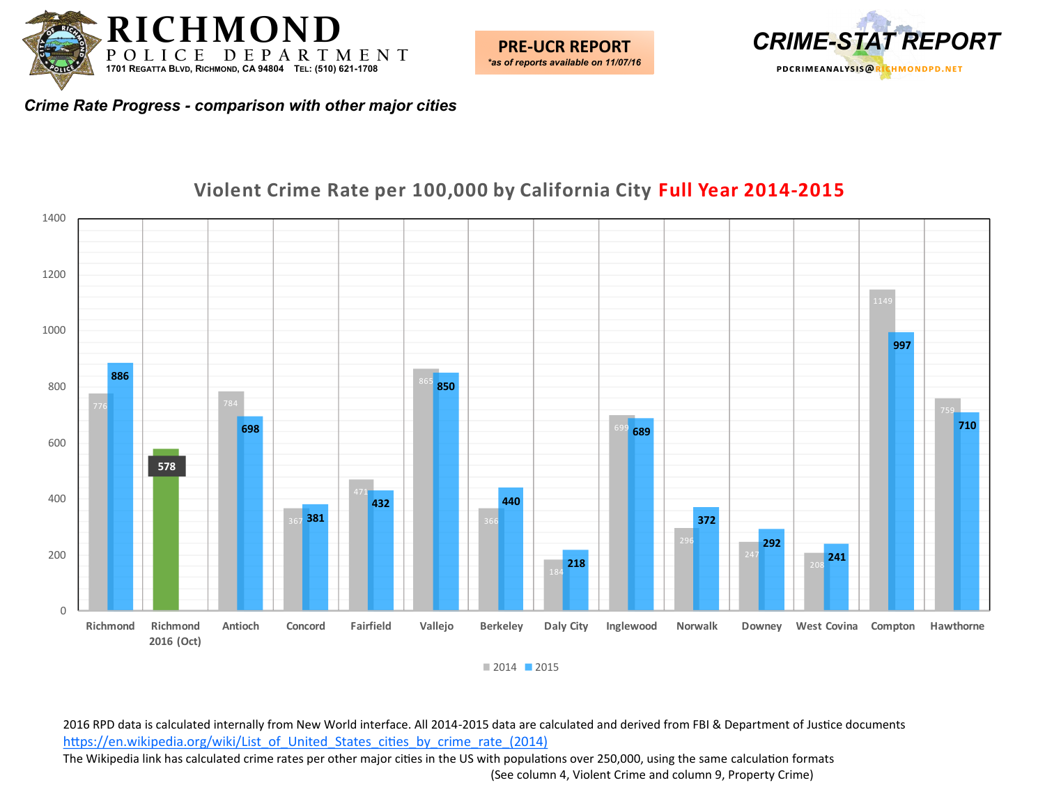



*Crime Rate Progress - comparison with other major cities*

#### $\theta$  **Richmond Richmond 2016 (Oct) Antioch Concord Fairfield Vallejo Berkeley Daly City Inglewood Norwalk Downey West Covina Compton Hawthorne**

### **Violent Crime Rate per 100,000 by California City Full Year 2014-2015**

2015

2016 RPD data is calculated internally from New World interface. All 2014-2015 data are calculated and derived from FBI & Department of Justice documents [https://en.wikipedia.org/wiki/List\\_of\\_United\\_States\\_cities\\_by\\_crime\\_rate\\_\(2014\)](https://en.wikipedia.org/wiki/List_of_United_States_cities_by_crime_rate_(2014)) The Wikipedia link has calculated crime rates per other major cities in the US with populations over 250,000, using the same calculation formats

(See column 4, Violent Crime and column 9, Property Crime)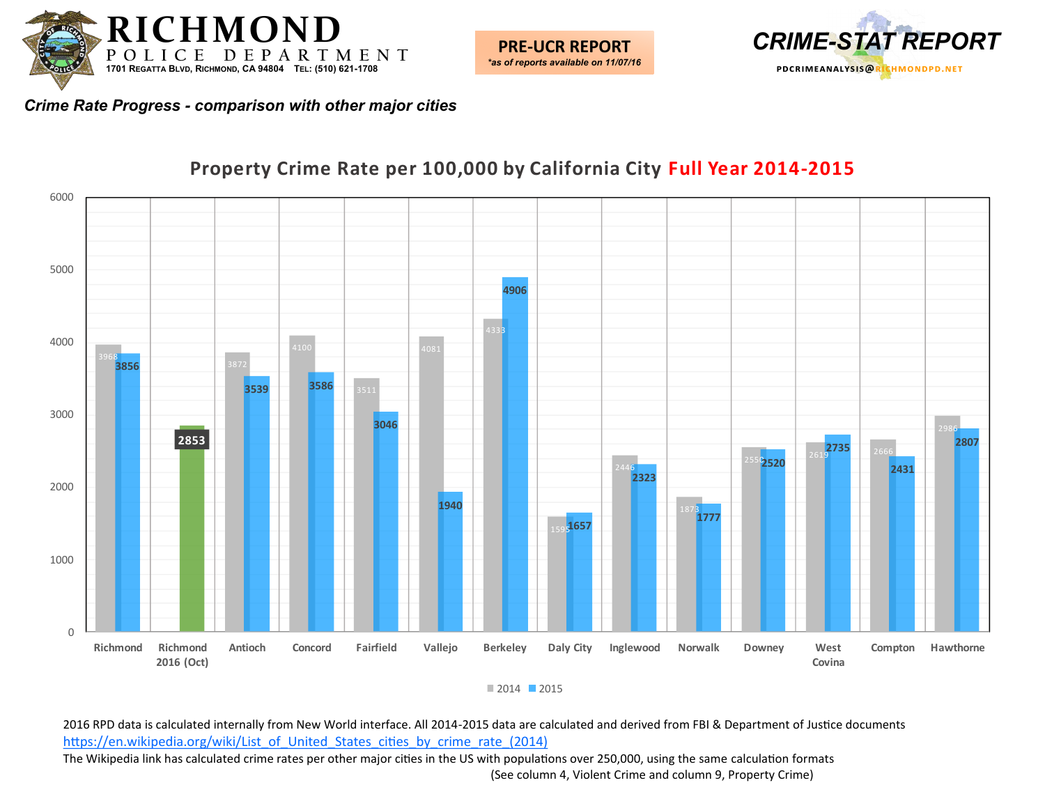



*Crime Rate Progress - comparison with other major cities*



### **Property Crime Rate per 100,000 by California City Full Year 2014-2015**

■ 2014 ■ 2015

2016 RPD data is calculated internally from New World interface. All 2014-2015 data are calculated and derived from FBI & Department of Justice documents [https://en.wikipedia.org/wiki/List\\_of\\_United\\_States\\_cities\\_by\\_crime\\_rate\\_\(2014\)](https://en.wikipedia.org/wiki/List_of_United_States_cities_by_crime_rate_(2014)) The Wikipedia link has calculated crime rates per other major cities in the US with populations over 250,000, using the same calculation formats (See column 4, Violent Crime and column 9, Property Crime)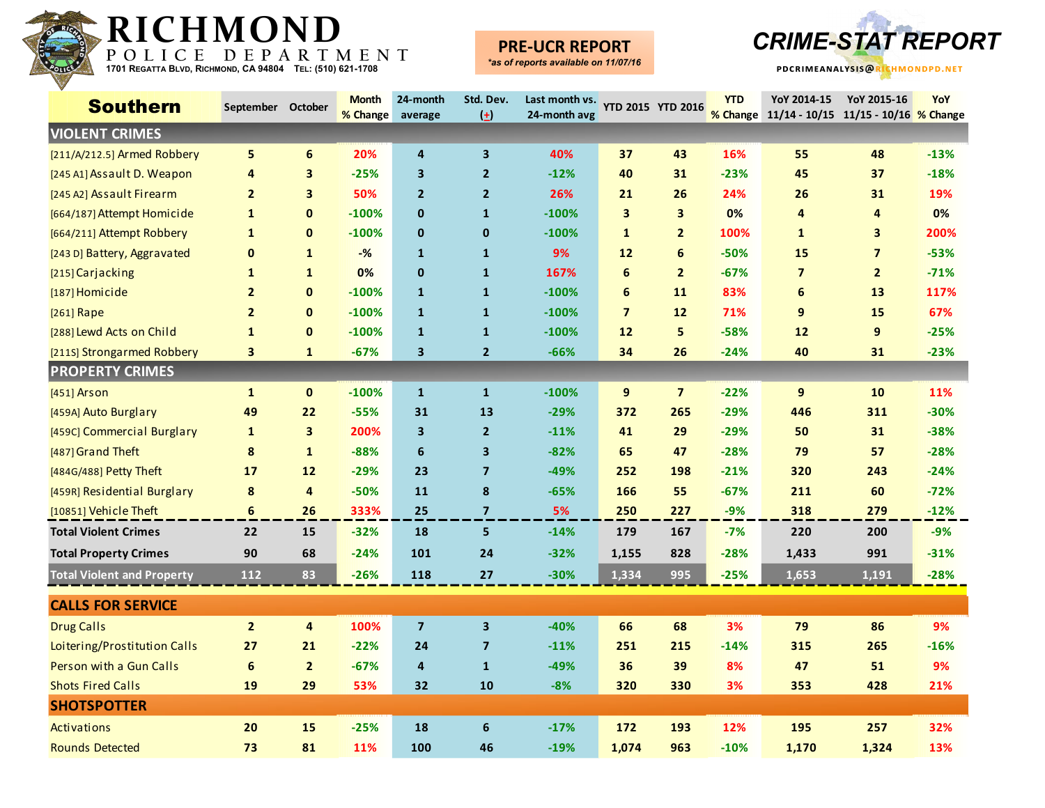

## **PRE-UCR REPORT**



| <b>Southern</b>                   | September October |                         | <b>Month</b> | 24-month                | Std. Dev.               | Last month vs. | YTD 2015 YTD 2016 |                         | <b>YTD</b> | YoY 2014-15                                   | YoY 2015-16    | YoY    |
|-----------------------------------|-------------------|-------------------------|--------------|-------------------------|-------------------------|----------------|-------------------|-------------------------|------------|-----------------------------------------------|----------------|--------|
|                                   |                   |                         | % Change     | average                 | $\left( \pm \right)$    | 24-month avg   |                   |                         |            | % Change 11/14 - 10/15 11/15 - 10/16 % Change |                |        |
| <b>VIOLENT CRIMES</b>             |                   |                         |              |                         |                         |                |                   |                         |            |                                               |                |        |
| [211/A/212.5] Armed Robbery       | 5                 | 6                       | 20%          | 4                       | 3                       | 40%            | 37                | 43                      | 16%        | 55                                            | 48             | $-13%$ |
| [245 A1] Assault D. Weapon        | 4                 | 3                       | $-25%$       | 3                       | $\mathbf{2}$            | $-12%$         | 40                | 31                      | $-23%$     | 45                                            | 37             | $-18%$ |
| [245 A2] Assault Firearm          | $\overline{2}$    | 3                       | 50%          | $\overline{2}$          | $\overline{2}$          | 26%            | 21                | 26                      | 24%        | 26                                            | 31             | 19%    |
| [664/187] Attempt Homicide        | $\mathbf{1}$      | $\mathbf{0}$            | $-100%$      | $\bf{0}$                | $\mathbf{1}$            | $-100%$        | 3                 | $\overline{\mathbf{3}}$ | 0%         | 4                                             | 4              | 0%     |
| [664/211] Attempt Robbery         | $\mathbf{1}$      | $\mathbf 0$             | $-100%$      | $\mathbf 0$             | $\mathbf{0}$            | $-100%$        | $\mathbf{1}$      | $\overline{2}$          | 100%       | $\mathbf{1}$                                  | 3              | 200%   |
| [243 D] Battery, Aggravated       | 0                 | $\mathbf{1}$            | $-%$         | $\mathbf{1}$            | $\mathbf{1}$            | 9%             | 12                | 6                       | $-50%$     | 15                                            | $\overline{7}$ | $-53%$ |
| [215] Carjacking                  | 1                 | $\mathbf{1}$            | 0%           | $\mathbf 0$             | 1                       | 167%           | 6                 | $\overline{2}$          | $-67%$     | $\overline{7}$                                | $\overline{2}$ | $-71%$ |
| [187] Homicide                    | $\overline{2}$    | $\mathbf 0$             | $-100%$      | $\mathbf{1}$            | $\mathbf{1}$            | $-100%$        | 6                 | 11                      | 83%        | 6                                             | 13             | 117%   |
| [261] Rape                        | $\overline{2}$    | $\mathbf{0}$            | $-100%$      | $\mathbf{1}$            | $\mathbf{1}$            | $-100%$        | $\overline{7}$    | 12                      | 71%        | 9                                             | 15             | 67%    |
| [288] Lewd Acts on Child          | 1                 | $\mathbf 0$             | $-100%$      | $\mathbf{1}$            | $\mathbf{1}$            | $-100%$        | 12                | 5                       | $-58%$     | 12                                            | 9              | $-25%$ |
| [211S] Strongarmed Robbery        | 3                 | $\mathbf{1}$            | $-67%$       | $\mathbf{3}$            | $\overline{2}$          | $-66%$         | 34                | 26                      | $-24%$     | 40                                            | 31             | $-23%$ |
| <b>PROPERTY CRIMES</b>            |                   |                         |              |                         |                         |                |                   |                         |            |                                               |                |        |
| $[451]$ Arson                     | $\mathbf{1}$      | $\mathbf{0}$            | $-100%$      | $\mathbf{1}$            | $\mathbf{1}$            | $-100%$        | 9                 | $\overline{\mathbf{z}}$ | $-22%$     | 9                                             | 10             | 11%    |
| [459A] Auto Burglary              | 49                | 22                      | $-55%$       | 31                      | 13                      | $-29%$         | 372               | 265                     | $-29%$     | 446                                           | 311            | $-30%$ |
| [459C] Commercial Burglary        | 1                 | $\overline{\mathbf{3}}$ | 200%         | 3                       | $\mathbf{2}$            | $-11%$         | 41                | 29                      | $-29%$     | 50                                            | 31             | $-38%$ |
| [487] Grand Theft                 | 8                 | $\mathbf{1}$            | $-88%$       | 6                       | 3                       | $-82%$         | 65                | 47                      | $-28%$     | 79                                            | 57             | $-28%$ |
| [484G/488] Petty Theft            | 17                | 12                      | $-29%$       | 23                      | $\overline{7}$          | -49%           | 252               | 198                     | $-21%$     | 320                                           | 243            | $-24%$ |
| [459R] Residential Burglary       | 8                 | $\overline{4}$          | $-50%$       | 11                      | 8                       | $-65%$         | 166               | 55                      | $-67%$     | 211                                           | 60             | $-72%$ |
| [10851] Vehicle Theft             | 6                 | 26                      | 333%         | 25                      | $\overline{7}$          | 5%             | 250               | 227                     | $-9%$      | 318                                           | 279            | $-12%$ |
| <b>Total Violent Crimes</b>       | 22                | 15                      | $-32%$       | 18                      | 5                       | $-14%$         | 179               | 167                     | $-7%$      | 220                                           | 200            | $-9%$  |
| <b>Total Property Crimes</b>      | 90                | 68                      | $-24%$       | 101                     | 24                      | $-32%$         | 1,155             | 828                     | $-28%$     | 1,433                                         | 991            | $-31%$ |
| <b>Total Violent and Property</b> | 112               | 83                      | $-26%$       | 118                     | 27                      | $-30%$         | 1,334             | 995                     | $-25%$     | 1,653                                         | 1,191          | $-28%$ |
| <b>CALLS FOR SERVICE</b>          |                   |                         |              |                         |                         |                |                   |                         |            |                                               |                |        |
| <b>Drug Calls</b>                 | $\overline{2}$    | $\overline{4}$          | 100%         | $\overline{\mathbf{z}}$ | 3                       | $-40%$         | 66                | 68                      | 3%         | 79                                            | 86             | 9%     |
| Loitering/Prostitution Calls      | 27                | 21                      | $-22%$       | 24                      | $\overline{\mathbf{z}}$ | $-11%$         | 251               | 215                     | $-14%$     | 315                                           | 265            | $-16%$ |
| Person with a Gun Calls           | 6                 | $\overline{2}$          | $-67%$       | 4                       | $\mathbf{1}$            | -49%           | 36                | 39                      | 8%         | 47                                            | 51             | 9%     |
| <b>Shots Fired Calls</b>          | 19                | 29                      | 53%          | 32                      | 10                      | $-8%$          | 320               | 330                     | 3%         | 353                                           | 428            | 21%    |
| <b>SHOTSPOTTER</b>                |                   |                         |              |                         |                         |                |                   |                         |            |                                               |                |        |
| Activations                       | 20                | 15                      | $-25%$       | 18                      | 6                       | $-17%$         | 172               | 193                     | 12%        | 195                                           | 257            | 32%    |
| <b>Rounds Detected</b>            | 73                | 81                      | 11%          | 100                     | 46                      | $-19%$         | 1,074             | 963                     | $-10%$     | 1,170                                         | 1,324          | 13%    |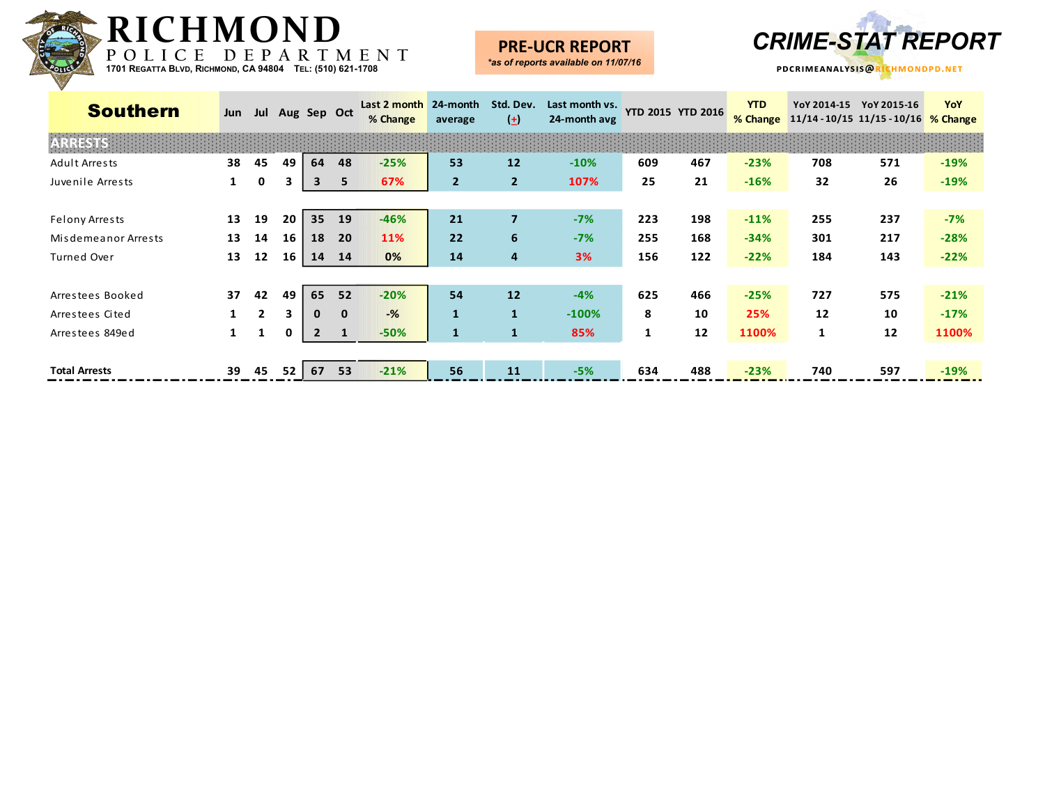

#### **PRE-UCR REPORT** *\*as of reports available on 11/07/16*





| <b>Southern</b>      | Jun |              |    | Jul Aug Sep Oct |              | Last 2 month<br>% Change | 24-month<br>average | Std. Dev.<br>$\left( \pm \right)$ | Last month vs.<br>24-month avg |     | <b>YTD 2015 YTD 2016</b> | <b>YTD</b><br>% Change | YoY 2014-15  | YoY 2015-16<br>11/14 - 10/15 11/15 - 10/16 % Change | YoY    |
|----------------------|-----|--------------|----|-----------------|--------------|--------------------------|---------------------|-----------------------------------|--------------------------------|-----|--------------------------|------------------------|--------------|-----------------------------------------------------|--------|
| <b>ARRESTS</b>       |     |              |    |                 |              |                          |                     |                                   |                                |     |                          |                        |              |                                                     |        |
| Adult Arrests        | 38  | 45           | 49 | 64              | 48           | $-25%$                   | 53                  | 12                                | $-10%$                         | 609 | 467                      | $-23%$                 | 708          | 571                                                 | $-19%$ |
| Juvenile Arrests     | 1   | 0            | 3  | 3               | 5            | 67%                      | $\overline{2}$      | $\overline{2}$                    | 107%                           | 25  | 21                       | $-16%$                 | 32           | 26                                                  | $-19%$ |
|                      |     |              |    |                 |              |                          |                     |                                   |                                |     |                          |                        |              |                                                     |        |
| Felony Arrests       | 13  | 19           | 20 | 35 <sub>2</sub> | 19           | $-46%$                   | 21                  | $\overline{7}$                    | $-7%$                          | 223 | 198                      | $-11%$                 | 255          | 237                                                 | $-7%$  |
| Misdemeanor Arrests  | 13  | 14           | 16 | 18              | 20           | 11%                      | 22                  | 6                                 | $-7%$                          | 255 | 168                      | $-34%$                 | 301          | 217                                                 | $-28%$ |
| Turned Over          | 13  | 12           | 16 | 14              | 14           | 0%                       | 14                  | 4                                 | 3%                             | 156 | 122                      | $-22%$                 | 184          | 143                                                 | $-22%$ |
|                      |     |              |    |                 |              |                          |                     |                                   |                                |     |                          |                        |              |                                                     |        |
| Arrestees Booked     | 37  | 42           | 49 | 65              | 52           | $-20%$                   | 54                  | 12                                | $-4%$                          | 625 | 466                      | $-25%$                 | 727          | 575                                                 | $-21%$ |
| Arrestees Cited      |     | $\mathbf{2}$ | 3  | $\mathbf{0}$    | $\mathbf{0}$ | $-$ %                    | $\mathbf{1}$        | $\mathbf{1}$                      | $-100%$                        | 8   | 10                       | 25%                    | 12           | 10                                                  | $-17%$ |
| Arrestees 849ed      | 1   | 1            | 0  | $\overline{2}$  | 1            | $-50%$                   | $\mathbf{1}$        | $\mathbf{1}$                      | 85%                            | 1   | 12                       | 1100%                  | $\mathbf{1}$ | 12                                                  | 1100%  |
|                      |     |              |    |                 |              |                          |                     |                                   |                                |     |                          |                        |              |                                                     |        |
| <b>Total Arrests</b> | 39  | 45           | 52 | 67              | 53           | $-21%$                   | 56                  | 11                                | $-5%$                          | 634 | 488                      | $-23%$                 | 740          | 597                                                 | $-19%$ |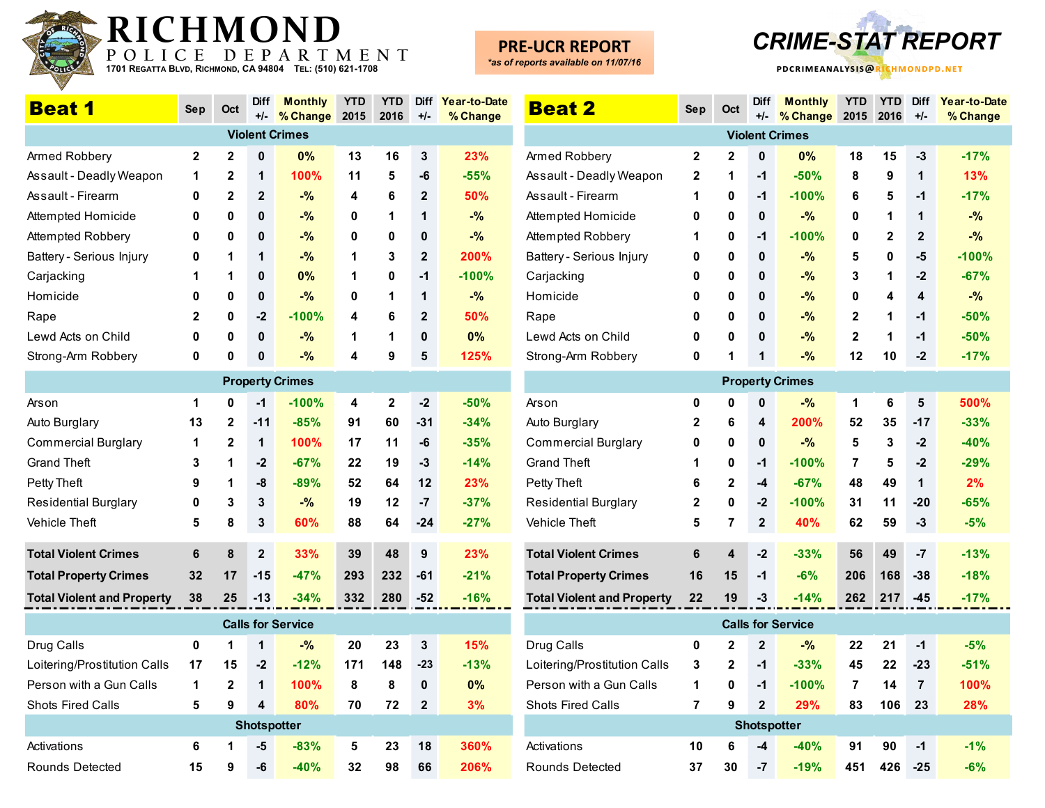

## **PRE-UCR REPORT**



| <b>Beat 1</b>                     | <b>Sep</b>  | Oct          | <b>Diff</b><br>$+/-$ | <b>Monthly</b><br>% Change | <b>YTD</b><br>2015 | <b>YTD</b><br>2016 | <b>Diff</b><br>$+/-$ | Year-to-Date<br>% Change | <b>Bea</b>      |
|-----------------------------------|-------------|--------------|----------------------|----------------------------|--------------------|--------------------|----------------------|--------------------------|-----------------|
|                                   |             |              |                      | <b>Violent Crimes</b>      |                    |                    |                      |                          |                 |
| Armed Robbery                     | $\mathbf 2$ | $\mathbf 2$  | $\mathbf{0}$         | 0%                         | 13                 | 16                 | 3                    | 23%                      | Armed F         |
| Assault - Deadly Weapon           | 1           | $\mathbf{2}$ | 1                    | 100%                       | 11                 | 5                  | -6                   | $-55%$                   | Assault         |
| Assault - Firearm                 | 0           | $\mathbf{2}$ | $\mathbf{2}$         | $-$ %                      | 4                  | 6                  | $\overline{2}$       | 50%                      | Assault         |
| Attempted Homicide                | 0           | 0            | 0                    | $-$ %                      | 0                  | 1                  | 1                    | $-$ %                    | Attempt         |
| Attempted Robbery                 | 0           | 0            | 0                    | $-$ %                      | 0                  | 0                  | 0                    | $-9/6$                   | Attempt         |
| Battery - Serious Injury          | 0           | 1            | 1                    | $-$ %                      | 1                  | 3                  | $\mathbf{2}$         | 200%                     | Battery -       |
| Carjacking                        | 1           | 1            | 0                    | 0%                         | 1                  | 0                  | $-1$                 | $-100%$                  | Carjack         |
| Homicide                          | 0           | 0            | 0                    | $-$ %                      | 0                  | 1                  | 1                    | $-$ %                    | Homicio         |
| Rape                              | $\mathbf 2$ | 0            | $-2$                 | $-100%$                    | 4                  | 6                  | 2                    | 50%                      | Rape            |
| Lewd Acts on Child                | 0           | 0            | 0                    | $-%$                       | 1                  | 1                  | 0                    | 0%                       | Lewd A          |
| Strong-Arm Robbery                | 0           | 0            | 0                    | $-$ %                      | 4                  | 9                  | 5                    | 125%                     | Strong-         |
|                                   |             |              |                      | <b>Property Crimes</b>     |                    |                    |                      |                          |                 |
| Arson                             | 1           | 0            | $-1$                 | $-100%$                    | 4                  | 2                  | $-2$                 | $-50%$                   | Arson           |
| Auto Burglary                     | 13          | $\mathbf{2}$ | $-11$                | $-85%$                     | 91                 | 60                 | $-31$                | $-34%$                   | Auto Bu         |
| <b>Commercial Burglary</b>        | 1           | $\mathbf{2}$ | 1                    | 100%                       | 17                 | 11                 | -6                   | $-35%$                   | Comme           |
| <b>Grand Theft</b>                | 3           | 1            | $-2$                 | $-67%$                     | 22                 | 19                 | -3                   | $-14%$                   | Grand T         |
| Petty Theft                       | 9           | 1            | -8                   | $-89%$                     | 52                 | 64                 | 12                   | 23%                      | Petty Th        |
| <b>Residential Burglary</b>       | 0           | 3            | 3                    | $-$ %                      | 19                 | 12                 | $-7$                 | $-37%$                   | Resider         |
| <b>Vehicle Theft</b>              | 5           | 8            | 3                    | 60%                        | 88                 | 64                 | $-24$                | $-27%$                   | Vehicle         |
| <b>Total Violent Crimes</b>       | 6           | 8            | $\mathbf{2}$         | 33%                        | 39                 | 48                 | 9                    | 23%                      | <b>Total Vi</b> |
| <b>Total Property Crimes</b>      | 32          | 17           | $-15$                | $-47%$                     | 293                | 232                | $-61$                | $-21%$                   | <b>Total Pr</b> |
| <b>Total Violent and Property</b> | 38          | 25           | -13                  | $-34%$                     | 332                | 280                | -52                  | $-16%$                   | <b>Total Vi</b> |
|                                   |             |              |                      | <b>Calls for Service</b>   |                    |                    |                      |                          |                 |
| Drug Calls                        | 0           | 1            | 1                    | $-$ %                      | 20                 | 23                 | 3                    | 15%                      | Drug Ca         |
| Loitering/Prostitution Calls      | 17          | 15           | $-2$                 | $-12%$                     | 171                | 148                | $-23$                | $-13%$                   | Loitering       |
| Person with a Gun Calls           | 1           | $\mathbf 2$  | 1                    | 100%                       | 8                  | 8                  | $\bf{0}$             | 0%                       | Person          |
| <b>Shots Fired Calls</b>          | 5           | 9            | 4                    | 80%                        | 70                 | 72                 | $\mathbf{2}$         | 3%                       | Shots F         |
|                                   |             |              |                      | <b>Shotspotter</b>         |                    |                    |                      |                          |                 |
| Activations                       | 6           | 1            | -5                   | $-83%$                     | 5                  | 23                 | 18                   | 360%                     | Activatio       |
| Rounds Detected                   | 15          | 9            | -6                   | $-40%$                     | 32                 | 98                 | 66                   | 206%                     | Rounds          |

| <b>Beat 2</b>                     | <b>Sep</b> | Oct                     | <b>Diff</b><br>+/-      | <b>Monthly</b><br>% Change | <b>YTD</b><br>2015 | <b>YTD</b><br>2016 | <b>Diff</b><br>$+/-$    | Year-to-Date<br>% Change |
|-----------------------------------|------------|-------------------------|-------------------------|----------------------------|--------------------|--------------------|-------------------------|--------------------------|
|                                   |            |                         |                         | <b>Violent Crimes</b>      |                    |                    |                         |                          |
| Armed Robbery                     | 2          | 2                       | 0                       | 0%                         | 18                 | 15                 | -3                      | $-17%$                   |
| Assault - Deadly Weapon           | 2          | 1                       | -1                      | $-50%$                     | 8                  | 9                  | 1                       | 13%                      |
| Assault - Firearm                 | 1          | 0                       | $-1$                    | $-100%$                    | 6                  | 5                  | $-1$                    | $-17%$                   |
| Attempted Homicide                | 0          | 0                       | 0                       | $-%$                       | 0                  | 1                  | 1                       | $-$ %                    |
| Attempted Robbery                 | 1          | 0                       | -1                      | $-100%$                    | 0                  | 2                  | $\overline{\mathbf{2}}$ | $-9/6$                   |
| Battery - Serious Injury          | 0          | 0                       | 0                       | $-%$                       | 5                  | 0                  | -5                      | $-100%$                  |
| Carjacking                        | 0          | 0                       | 0                       | $-%$                       | 3                  | 1                  | $-2$                    | $-67%$                   |
| Homicide                          | 0          | 0                       | 0                       | $-$ %                      | 0                  | 4                  | 4                       | $-9/6$                   |
| Rape                              | 0          | 0                       | 0                       | $-$ %                      | $\mathbf{2}$       | 1                  | $-1$                    | $-50%$                   |
| Lewd Acts on Child                | 0          | 0                       | 0                       | $-$ %                      | $\mathbf{2}$       | 1                  | $-1$                    | $-50%$                   |
| Strong-Arm Robbery                | 0          | 1                       | 1                       | $-$ %                      | 12                 | 10                 | $-2$                    | $-17%$                   |
|                                   |            |                         |                         | <b>Property Crimes</b>     |                    |                    |                         |                          |
| Arson                             | 0          | 0                       | 0                       | $-$ %                      | 1                  | 6                  | 5                       | 500%                     |
| Auto Burglary                     | 2          | 6                       | 4                       | 200%                       | 52                 | 35                 | $-17$                   | $-33%$                   |
| <b>Commercial Burglary</b>        | 0          | 0                       | 0                       | $-$ %                      | 5                  | 3                  | $-2$                    | $-40%$                   |
| <b>Grand Theft</b>                | 1          | 0                       | $-1$                    | $-100%$                    | 7                  | 5                  | $-2$                    | $-29%$                   |
| Petty Theft                       | 6          | $\mathbf{2}$            | -4                      | $-67%$                     | 48                 | 49                 | 1                       | 2%                       |
| Residential Burglary              | 2          | 0                       | $-2$                    | $-100%$                    | 31                 | 11                 | $-20$                   | $-65%$                   |
| Vehicle Theft                     | 5          | 7                       | $\bf{2}$                | 40%                        | 62                 | 59                 | $-3$                    | $-5%$                    |
| <b>Total Violent Crimes</b>       | 6          | 4                       | $-2$                    | $-33%$                     | 56                 | 49                 | $-7$                    | $-13%$                   |
| <b>Total Property Crimes</b>      | 16         | 15                      | $-1$                    | $-6%$                      | 206                | 168                | $-38$                   | $-18%$                   |
| <b>Total Violent and Property</b> | 22         | 19                      | -3                      | $-14%$                     | 262                | 217                | -45                     | $-17%$                   |
|                                   |            |                         |                         | <b>Calls for Service</b>   |                    |                    |                         |                          |
| Drug Calls                        | 0          | $\overline{\mathbf{2}}$ | $\overline{\mathbf{2}}$ | $-$ %                      | 22                 | 21                 | $-1$                    | $-5%$                    |
| Loitering/Prostitution Calls      | 3          | $\mathbf{2}$            | $-1$                    | $-33%$                     | 45                 | 22                 | $-23$                   | $-51%$                   |
| Person with a Gun Calls           | 1          | 0                       | $-1$                    | $-100%$                    | 7                  | 14                 | $\overline{7}$          | 100%                     |
| Shots Fired Calls                 | 7          | 9                       | $\overline{\mathbf{2}}$ | 29%                        | 83                 | 106                | 23                      | 28%                      |
|                                   |            |                         | <b>Shotspotter</b>      |                            |                    |                    |                         |                          |
| Activations                       | 10         | 6                       | -4                      | $-40%$                     | 91                 | 90                 | $-1$                    | $-1%$                    |
| Rounds Detected                   | 37         | 30                      | -7                      | $-19%$                     | 451                | 426                | $-25$                   | $-6%$                    |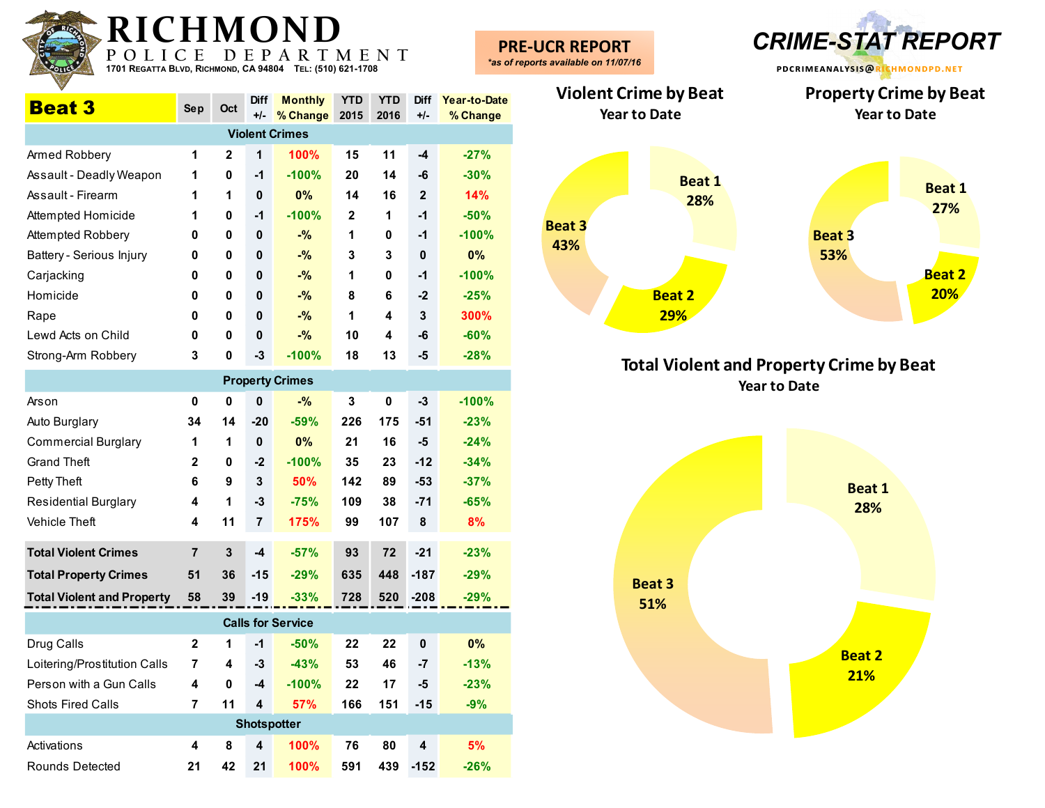| K I (<br>POLI<br>1701 REGATTA BLVD, RICHMOND, CA 94804 TEL: (510) 621-1708 | C E            | D E          | $\mathbf{P}$         | MUND<br>ARTMENT                 |              |                    |                         |                          | <b>PRE-UCR REPORT</b><br>*as of reports available on 11/07/16 |               | <b>CRIME-STAT REPORT</b><br>PDCRIMEANALYSIS@RICHMONDPD.NET             |
|----------------------------------------------------------------------------|----------------|--------------|----------------------|---------------------------------|--------------|--------------------|-------------------------|--------------------------|---------------------------------------------------------------|---------------|------------------------------------------------------------------------|
| <b>Beat 3</b>                                                              | Sep            | Oct          | <b>Diff</b><br>$+/-$ | <b>Monthly</b><br>% Change 2015 | <b>YTD</b>   | <b>YTD</b><br>2016 | Diff<br>$+/-$           | Year-to-Date<br>% Change | <b>Violent Crime by Beat</b><br><b>Year to Date</b>           |               | <b>Property Crime by Beat</b><br><b>Year to Date</b>                   |
|                                                                            |                |              |                      | <b>Violent Crimes</b>           |              |                    |                         |                          |                                                               |               |                                                                        |
| Armed Robbery                                                              | 1              | $\mathbf{2}$ | 1                    | 100%                            | 15           | 11                 | $-4$                    | $-27%$                   |                                                               |               |                                                                        |
| Assault - Deadly Weapon                                                    | 1              | 0            | -1                   | $-100%$                         | 20           | 14                 | $-6$                    | $-30%$                   |                                                               | <b>Beat 1</b> |                                                                        |
| Assault - Firearm                                                          | 1              | 1            | 0                    | 0%                              | 14           | 16                 | $\mathbf{2}$            | 14%                      |                                                               | 28%           | <b>Beat 1</b>                                                          |
| Attempted Homicide                                                         | 1              | 0            | -1                   | $-100%$                         | $\mathbf{2}$ | $\mathbf 1$        | $-1$                    | $-50%$                   |                                                               |               | 27%                                                                    |
| Attempted Robbery                                                          | 0              | 0            | 0                    | $-$ %                           | 1            | 0                  | $-1$                    | $-100%$                  | <b>Beat 3</b>                                                 |               | <b>Beat 3</b>                                                          |
| Battery - Serious Injury                                                   | $\mathbf 0$    | 0            | 0                    | $-$ %                           | 3            | 3                  | $\mathbf 0$             | 0%                       | 43%                                                           |               | 53%                                                                    |
| Carjacking                                                                 | 0              | $\mathbf{0}$ | 0                    | $-$ %                           | 1            | $\mathbf 0$        | $-1$                    | $-100%$                  |                                                               |               | <b>Beat 2</b>                                                          |
| Homicide                                                                   | 0              | 0            | 0                    | $-$ %                           | 8            | 6                  | $-2$                    | $-25%$                   |                                                               | <b>Beat 2</b> | 20%                                                                    |
| Rape                                                                       | 0              | 0            | $\mathbf 0$          | $-$ %                           | 1            | 4                  | 3                       | 300%                     |                                                               | 29%           |                                                                        |
| Lewd Acts on Child                                                         | 0              | 0            | $\mathbf 0$          | $-$ %                           | 10           | 4                  | -6                      | $-60%$                   |                                                               |               |                                                                        |
| Strong-Arm Robbery                                                         | 3              | 0            | $-3$                 | $-100%$                         | 18           | 13                 | $-5$                    | $-28%$                   |                                                               |               |                                                                        |
|                                                                            |                |              |                      | <b>Property Crimes</b>          |              |                    |                         |                          |                                                               |               | <b>Total Violent and Property Crime by Beat</b><br><b>Year to Date</b> |
| Arson                                                                      | 0              | $\mathbf{0}$ | 0                    | $-$ %                           | 3            | $\mathbf 0$        | $-3$                    | $-100%$                  |                                                               |               |                                                                        |
| Auto Burglary                                                              | 34             | 14           | $-20$                | $-59%$                          | 226          | 175                | $-51$                   | $-23%$                   |                                                               |               |                                                                        |
| <b>Commercial Burglary</b>                                                 | 1              | -1           | 0                    | 0%                              | 21           | 16                 | $-5$                    | $-24%$                   |                                                               |               |                                                                        |
| <b>Grand Theft</b>                                                         | $\mathbf{2}$   | 0            | $-2$                 | $-100%$                         | 35           | 23                 | $-12$                   | $-34%$                   |                                                               |               |                                                                        |
| Petty Theft                                                                | 6              | 9            | 3                    | 50%                             | 142          | 89                 | $-53$                   | $-37%$                   |                                                               |               |                                                                        |
| <b>Residential Burglary</b>                                                | 4              |              | $-3$                 | $-75%$                          | 109          | 38                 | $-71$                   | $-65%$                   |                                                               |               | <b>Beat 1</b><br>28%                                                   |
| Vehicle Theft                                                              | 4              | 11           | $\overline{7}$       | 175%                            | 99           | 107                | 8                       | 8%                       |                                                               |               |                                                                        |
|                                                                            |                |              |                      |                                 |              |                    |                         |                          |                                                               |               |                                                                        |
| <b>Total Violent Crimes</b>                                                | $\overline{7}$ | $\mathbf{3}$ | $-4$                 | $-57%$                          | 93           | 72                 | $-21$                   | $-23%$                   |                                                               |               |                                                                        |
| <b>Total Property Crimes</b>                                               | 51             | 36           | $-15$                | $-29%$                          | 635          | 448                | $-187$                  | $-29%$                   |                                                               | <b>Beat 3</b> |                                                                        |
| <b>Total Violent and Property</b>                                          | 58             | 39           | $-19$                | $-33%$                          | 728          | 520                | $-208$                  | $-29%$                   |                                                               | 51%           |                                                                        |
|                                                                            |                |              |                      | <b>Calls for Service</b>        |              |                    |                         |                          |                                                               |               |                                                                        |
| Drug Calls                                                                 | $\mathbf{2}$   |              | $-1$                 | $-50%$                          | 22           | 22                 | $\pmb{0}$               | 0%                       |                                                               |               |                                                                        |
| Loitering/Prostitution Calls                                               | $\overline{7}$ | 4            | $-3$                 | $-43%$                          | 53           | 46                 | $-7$                    | $-13%$                   |                                                               |               | <b>Beat 2</b>                                                          |
| Person with a Gun Calls                                                    | 4              | 0            | -4                   | $-100%$                         | 22           | 17                 | $-5$                    | $-23%$                   |                                                               |               | 21%                                                                    |
| Shots Fired Calls                                                          | $\overline{7}$ | 11           | 4                    | 57%                             | 166          | 151                | $-15$                   | $-9%$                    |                                                               |               |                                                                        |
|                                                                            |                |              |                      | <b>Shotspotter</b>              |              |                    |                         |                          |                                                               |               |                                                                        |
| Activations                                                                | 4              | 8            | 4                    | 100%                            | 76           | 80                 | $\overline{\mathbf{4}}$ | 5%                       |                                                               |               |                                                                        |
| Rounds Detected                                                            | 21             |              | 42 21                | 100%                            | 591          |                    | 439 - 152               | $-26%$                   |                                                               |               |                                                                        |

**RADICUMOND** 



**Total Violent and Property Crime by Beat Year to Date**

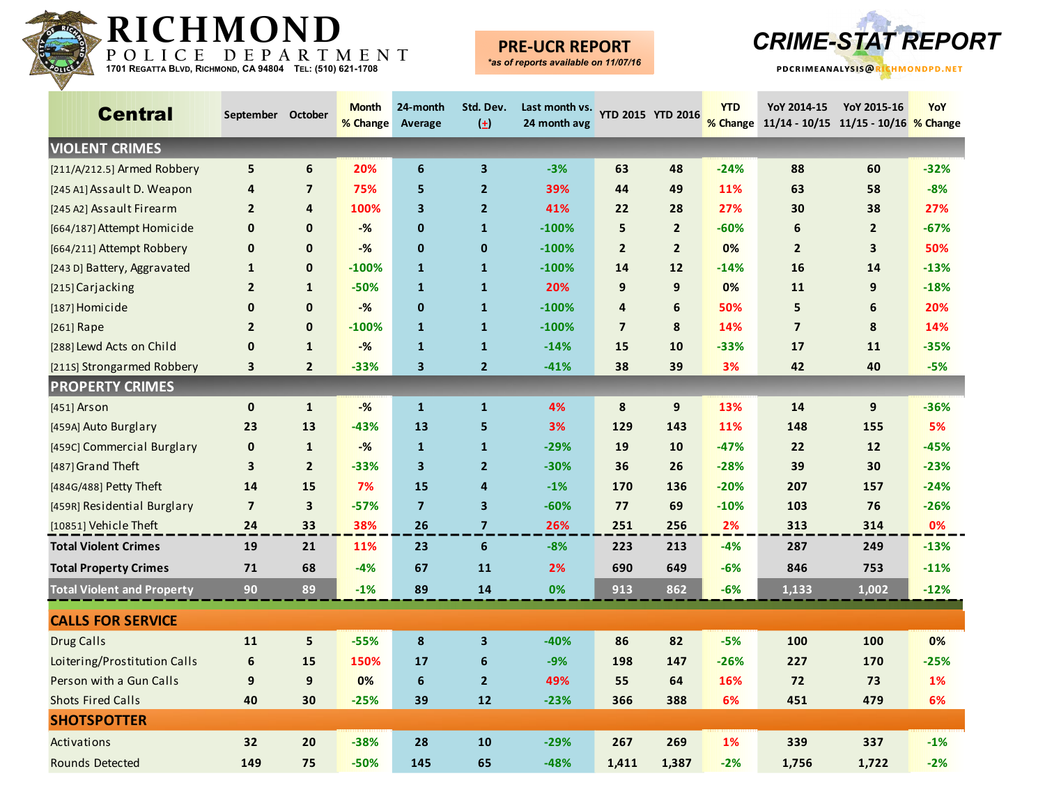

### **PRE-UCR REPORT**



| <b>Central</b>                    | September October       |                  | <b>Month</b><br>% Change | 24-month<br>Average     | Std. Dev.<br>$(\pm)$    | Last month vs.<br>24 month avg | YTD 2015 YTD 2016 |                  | <b>YTD</b> | YoY 2014-15<br>% Change 11/14 - 10/15 11/15 - 10/16 % Change | YoY 2015-16             | <b>YoY</b> |
|-----------------------------------|-------------------------|------------------|--------------------------|-------------------------|-------------------------|--------------------------------|-------------------|------------------|------------|--------------------------------------------------------------|-------------------------|------------|
| <b>VIOLENT CRIMES</b>             |                         |                  |                          |                         |                         |                                |                   |                  |            |                                                              |                         |            |
| [211/A/212.5] Armed Robbery       | 5                       | 6                | 20%                      | 6                       | $\overline{\mathbf{3}}$ | $-3%$                          | 63                | 48               | $-24%$     | 88                                                           | 60                      | $-32%$     |
| [245 A1] Assault D. Weapon        | 4                       | $\overline{7}$   | 75%                      | 5                       | $\overline{2}$          | 39%                            | 44                | 49               | 11%        | 63                                                           | 58                      | $-8%$      |
| [245 A2] Assault Firearm          | $\overline{2}$          | 4                | 100%                     | 3                       | $\overline{2}$          | 41%                            | 22                | 28               | 27%        | 30                                                           | 38                      | 27%        |
| [664/187] Attempt Homicide        | $\mathbf 0$             | $\mathbf{0}$     | $-%$                     | $\mathbf 0$             | $\mathbf{1}$            | $-100%$                        | 5                 | $\overline{2}$   | $-60%$     | 6                                                            | $\overline{2}$          | $-67%$     |
| [664/211] Attempt Robbery         | $\mathbf 0$             | $\mathbf{0}$     | $-%$                     | $\mathbf 0$             | 0                       | $-100%$                        | $\overline{2}$    | $\overline{2}$   | 0%         | $\mathbf{2}$                                                 | $\overline{\mathbf{3}}$ | 50%        |
| [243 D] Battery, Aggravated       | 1                       | 0                | $-100%$                  | $\mathbf{1}$            | $\mathbf{1}$            | $-100%$                        | 14                | 12               | $-14%$     | 16                                                           | 14                      | $-13%$     |
| [215] Carjacking                  | $\overline{2}$          | $\mathbf{1}$     | $-50%$                   | $\mathbf{1}$            | $\mathbf{1}$            | 20%                            | 9                 | 9                | 0%         | 11                                                           | 9                       | $-18%$     |
| [187] Homicide                    | $\mathbf 0$             | 0                | $-%$                     | $\mathbf{0}$            | $\mathbf{1}$            | $-100%$                        | 4                 | 6                | 50%        | 5                                                            | 6                       | 20%        |
| [261] Rape                        | $\overline{2}$          | $\mathbf{0}$     | $-100%$                  | $\mathbf{1}$            | $\mathbf{1}$            | $-100%$                        | $\overline{7}$    | 8                | 14%        | $\overline{7}$                                               | 8                       | 14%        |
| [288] Lewd Acts on Child          | $\mathbf 0$             | $\mathbf{1}$     | $-%$                     | $\mathbf{1}$            | $\mathbf{1}$            | $-14%$                         | 15                | 10               | $-33%$     | 17                                                           | 11                      | $-35%$     |
| [211S] Strongarmed Robbery        | 3                       | $\overline{2}$   | $-33%$                   | $\mathbf{3}$            | $\mathbf{2}$            | $-41%$                         | 38                | 39               | 3%         | 42                                                           | 40                      | -5%        |
| <b>PROPERTY CRIMES</b>            |                         |                  |                          |                         |                         |                                |                   |                  |            |                                                              |                         |            |
| [451] Arson                       | $\mathbf 0$             | $\mathbf{1}$     | $-%$                     | $\mathbf{1}$            | $\mathbf{1}$            | 4%                             | 8                 | $\boldsymbol{9}$ | 13%        | 14                                                           | 9                       | $-36%$     |
| [459A] Auto Burglary              | 23                      | 13               | $-43%$                   | 13                      | 5                       | 3%                             | 129               | 143              | 11%        | 148                                                          | 155                     | 5%         |
| [459C] Commercial Burglary        | $\mathbf 0$             | $\mathbf{1}$     | $-%$                     | $\mathbf{1}$            | $\mathbf{1}$            | $-29%$                         | 19                | 10               | $-47%$     | 22                                                           | 12                      | $-45%$     |
| [487] Grand Theft                 | 3                       | $\overline{2}$   | $-33%$                   | $\mathbf{3}$            | $\overline{2}$          | $-30%$                         | 36                | 26               | $-28%$     | 39                                                           | 30                      | $-23%$     |
| [484G/488] Petty Theft            | 14                      | 15               | 7%                       | 15                      | 4                       | $-1%$                          | 170               | 136              | $-20%$     | 207                                                          | 157                     | $-24%$     |
| [459R] Residential Burglary       | $\overline{\mathbf{z}}$ | 3                | $-57%$                   | $\overline{\mathbf{z}}$ | 3                       | $-60%$                         | 77                | 69               | $-10%$     | 103                                                          | 76                      | $-26%$     |
| [10851] Vehicle Theft             | 24                      | 33               | 38%                      | 26                      | $\overline{\mathbf{z}}$ | 26%                            | 251               | 256              | 2%         | 313                                                          | 314                     | 0%         |
| <b>Total Violent Crimes</b>       | 19                      | 21               | 11%                      | 23                      | $\boldsymbol{6}$        | $-8%$                          | 223               | 213              | $-4%$      | 287                                                          | 249                     | $-13%$     |
| <b>Total Property Crimes</b>      | 71                      | 68               | $-4%$                    | 67                      | 11                      | 2%                             | 690               | 649              | -6%        | 846                                                          | 753                     | $-11%$     |
| <b>Total Violent and Property</b> | 90                      | 89               | $-1%$                    | 89                      | 14                      | 0%                             | 913               | 862              | $-6%$      | 1,133                                                        | 1,002                   | $-12%$     |
| <b>CALLS FOR SERVICE</b>          |                         |                  |                          |                         |                         |                                |                   |                  |            |                                                              |                         |            |
| <b>Drug Calls</b>                 | 11                      | 5                | $-55%$                   | 8                       | 3                       | $-40%$                         | 86                | 82               | -5%        | 100                                                          | 100                     | 0%         |
| Loitering/Prostitution Calls      | $\boldsymbol{6}$        | 15               | 150%                     | 17                      | 6                       | $-9%$                          | 198               | 147              | $-26%$     | 227                                                          | 170                     | $-25%$     |
| Person with a Gun Calls           | 9                       | $\boldsymbol{9}$ | 0%                       | $6\phantom{a}$          | $\overline{2}$          | 49%                            | 55                | 64               | 16%        | 72                                                           | 73                      | 1%         |
| <b>Shots Fired Calls</b>          | 40                      | 30               | $-25%$                   | 39                      | 12                      | $-23%$                         | 366               | 388              | 6%         | 451                                                          | 479                     | 6%         |
| <b>SHOTSPOTTER</b>                |                         |                  |                          |                         |                         |                                |                   |                  |            |                                                              |                         |            |
| Activations                       | 32                      | 20               | $-38%$                   | 28                      | 10                      | $-29%$                         | 267               | 269              | 1%         | 339                                                          | 337                     | $-1%$      |
| Rounds Detected                   | 149                     | 75               | $-50%$                   | 145                     | 65                      | $-48%$                         | 1,411             | 1,387            | $-2%$      | 1,756                                                        | 1,722                   | $-2%$      |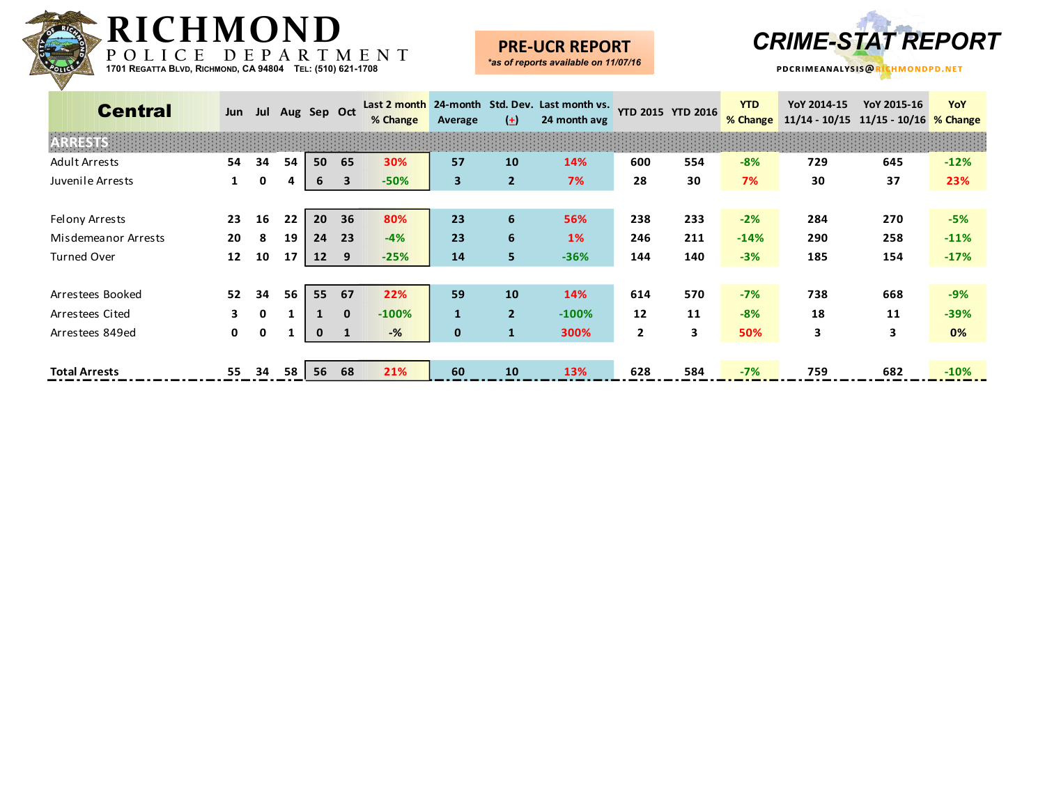

### **PRE-UCR REPORT**



| <b>Central</b>       | Jun          |              |    | Jul Aug Sep Oct |              | % Change | Average                 | $\left( \pm \right)$ | Last 2 month 24-month Std. Dev. Last month vs.<br>24 month avg | YTD 2015 YTD 2016 |     | <b>YTD</b><br>% Change | YoY 2014-15<br>$11/14 - 10/15$ | YoY 2015-16<br>11/15 - 10/16 % Change | YoY    |
|----------------------|--------------|--------------|----|-----------------|--------------|----------|-------------------------|----------------------|----------------------------------------------------------------|-------------------|-----|------------------------|--------------------------------|---------------------------------------|--------|
| <b>ARRESTS</b>       |              |              |    |                 |              |          |                         |                      |                                                                |                   |     |                        |                                |                                       |        |
| Adult Arrests        | 54           | 34           | 54 | 50              | 65           | 30%      | 57                      | 10                   | 14%                                                            | 600               | 554 | $-8%$                  | 729                            | 645                                   | $-12%$ |
| Juvenile Arrests     |              | 0            | 4  | 6               | 3            | $-50%$   | $\overline{\mathbf{3}}$ | $\overline{2}$       | 7%                                                             | 28                | 30  | 7%                     | 30                             | 37                                    | 23%    |
|                      |              |              |    |                 |              |          |                         |                      |                                                                |                   |     |                        |                                |                                       |        |
| Felony Arrests       | 23           | 16           | 22 | 20              | 36           | 80%      | 23                      | 6                    | 56%                                                            | 238               | 233 | $-2%$                  | 284                            | 270                                   | $-5%$  |
| Misdemeanor Arrests  | 20           | 8            | 19 | 24              | 23           | $-4%$    | 23                      | 6                    | <b>1%</b>                                                      | 246               | 211 | $-14%$                 | 290                            | 258                                   | $-11%$ |
| <b>Turned Over</b>   | 12           | 10           | 17 | 12              | 9            | $-25%$   | 14                      | 5.                   | $-36%$                                                         | 144               | 140 | $-3%$                  | 185                            | 154                                   | $-17%$ |
|                      |              |              |    |                 |              |          |                         |                      |                                                                |                   |     |                        |                                |                                       |        |
| Arrestees Booked     | 52           | 34           | 56 | 55              | 67           | 22%      | 59                      | 10                   | 14%                                                            | 614               | 570 | $-7%$                  | 738                            | 668                                   | $-9%$  |
| Arrestees Cited      | 3.           | $\mathbf{0}$ |    |                 | $\mathbf{0}$ | $-100%$  | $\mathbf{1}$            | $\overline{2}$       | $-100%$                                                        | 12                | 11  | $-8%$                  | 18                             | 11                                    | $-39%$ |
| Arrestees 849ed      | $\mathbf{0}$ | 0            |    | $\mathbf 0$     | $\mathbf{1}$ | $-$ %    | $\mathbf 0$             | $\mathbf{1}$         | 300%                                                           | $\overline{2}$    | 3   | 50%                    | 3                              | 3                                     | 0%     |
|                      |              |              |    |                 |              |          |                         |                      |                                                                |                   |     |                        |                                |                                       |        |
| <b>Total Arrests</b> | 55           | 34           | 58 | 56              | 68           | 21%      | 60                      | <b>10</b>            | 13%                                                            | 628               | 584 | $-7%$                  | 759                            | 682                                   | $-10%$ |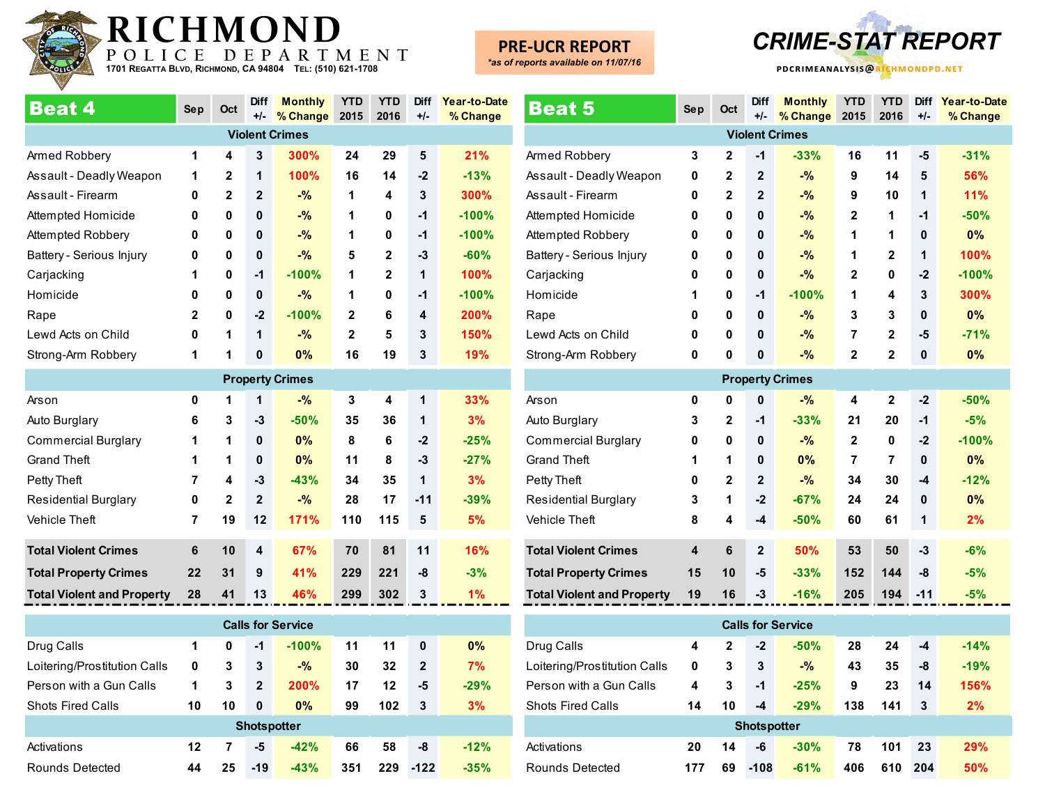

# **PRE-UCR REPORT**

*\*as of reports available on 11/07/16*



| <b>Beat 4</b>                     | <b>Sep</b>   | Oct            | <b>Diff</b><br>$+/-$ | <b>Monthly</b><br>% Change | <b>YTD</b><br>2015 | <b>YTD</b><br>2016 | <b>Diff</b><br>$+/-$ | Year-to-Date<br>% Change |
|-----------------------------------|--------------|----------------|----------------------|----------------------------|--------------------|--------------------|----------------------|--------------------------|
|                                   |              |                |                      | <b>Violent Crimes</b>      |                    |                    |                      |                          |
| Armed Robbery                     | 1            | 4              | 3                    | 300%                       | 24                 | 29                 | 5                    | 21%                      |
| Assault - Deadly Weapon           | 1            | $\overline{2}$ | 1                    | 100%                       | 16                 | 14                 | $-2$                 | $-13%$                   |
| Assault - Firearm                 | 0            | $\mathbf{2}$   | $\mathbf{2}$         | $-$ %                      | 1                  | 4                  | 3                    | 300%                     |
| Attempted Homicide                | 0            | 0              | $\mathbf{0}$         | $-$ %                      | 1                  | 0                  | $-1$                 | $-100%$                  |
| Attempted Robbery                 | 0            | 0              | $\mathbf{0}$         | $-$ %                      | 1                  | 0                  | $-1$                 | $-100%$                  |
| Battery - Serious Injury          | 0            | 0              | $\mathbf{0}$         | $-$ %                      | 5                  | $\mathbf{2}$       | $-3$                 | $-60%$                   |
| Carjacking                        | 1            | 0              | $-1$                 | $-100%$                    | 1                  | $\mathbf 2$        | 1                    | 100%                     |
| Homicide                          | 0            | 0              | $\mathbf{0}$         | $-$ %                      | 1                  | 0                  | $-1$                 | $-100%$                  |
| Rape                              | $\mathbf{2}$ | 0              | $-2$                 | $-100%$                    | $\overline{2}$     | 6                  | 4                    | 200%                     |
| Lewd Acts on Child                | 0            | 1              | 1                    | $-$ %                      | $\mathbf 2$        | 5                  | 3                    | 150%                     |
| Strong-Arm Robbery                | 1            | 1              | $\mathbf{0}$         | 0%                         | 16                 | 19                 | $\mathbf{3}$         | 19%                      |
|                                   |              |                |                      | <b>Property Crimes</b>     |                    |                    |                      |                          |
| Arson                             | 0            | 1              | 1                    | $-$ %                      | 3                  | 4                  | 1                    | 33%                      |
| Auto Burglary                     | 6            | 3              | $-3$                 | $-50%$                     | 35                 | 36                 | 1                    | 3%                       |
| <b>Commercial Burglary</b>        | 1            | 1              | $\mathbf{0}$         | 0%                         | 8                  | 6                  | $-2$                 | $-25%$                   |
| <b>Grand Theft</b>                | 1            | 1              | $\mathbf{0}$         | 0%                         | 11                 | 8                  | $-3$                 | $-27%$                   |
| Petty Theft                       | 7            | 4              | $-3$                 | $-43%$                     | 34                 | 35                 | 1                    | 3%                       |
| <b>Residential Burglary</b>       | 0            | $\mathbf{2}$   | $\mathbf{2}$         | $-$ %                      | 28                 | 17                 | $-11$                | $-39%$                   |
| <b>Vehicle Theft</b>              | 7            | 19             | 12                   | 171%                       | 110                | 115                | 5                    | 5%                       |
| <b>Total Violent Crimes</b>       | 6            | 10             | 4                    | 67%                        | 70                 | 81                 | 11                   | 16%                      |
| <b>Total Property Crimes</b>      | 22           | 31             | 9                    | 41%                        | 229                | 221                | -8                   | $-3%$                    |
| <b>Total Violent and Property</b> | 28           | 41             | 13                   | 46%                        | 299                | 302                | 3                    | 1%                       |

| <b>Calls for Service</b>     |    |    |                    |             |     |     |              |        |  |  |  |  |
|------------------------------|----|----|--------------------|-------------|-----|-----|--------------|--------|--|--|--|--|
| Drug Calls                   | 1  | 0  | -1                 | $-100%$     | 11  | 11  | 0            | $0\%$  |  |  |  |  |
| Loitering/Prostitution Calls | 0  | 3  | 3                  | $-$ %       | 30  | 32  | $\mathbf{2}$ | 7%     |  |  |  |  |
| Person with a Gun Calls      | 1  | 3  | $\mathbf{2}$       | <b>200%</b> | 17  | 12  | -5           | $-29%$ |  |  |  |  |
| <b>Shots Fired Calls</b>     | 10 | 10 | 0                  | $0\%$       | 99  | 102 | 3            | 3%     |  |  |  |  |
|                              |    |    | <b>Shotspotter</b> |             |     |     |              |        |  |  |  |  |
| Activations                  | 12 | 7  | -5                 | $-42%$      | 66  | 58  | -8           | $-12%$ |  |  |  |  |
| Rounds Detected              | 44 | 25 | $-19$              | $-43%$      | 351 | 229 | $-122$       | $-35%$ |  |  |  |  |

| <b>Beat 5</b>                     | <b>Sep</b>         | Oct            | <b>Diff</b><br>$+/-$ | <b>Monthly</b><br>% Change | <b>YTD</b><br>2015 | <b>YTD</b><br>2016 | <b>Diff</b><br>$+/-$ | Year-to-Date<br>% Change |  |  |
|-----------------------------------|--------------------|----------------|----------------------|----------------------------|--------------------|--------------------|----------------------|--------------------------|--|--|
|                                   |                    |                |                      | <b>Violent Crimes</b>      |                    |                    |                      |                          |  |  |
| Armed Robbery                     | 3                  | 2              | -1                   | $-33%$                     | 16                 | 11                 | -5                   | $-31%$                   |  |  |
| Assault - Deadly Weapon           | 0                  | $\mathbf{2}$   | $\mathbf{2}$         | $-$ %                      | 9                  | 14                 | 5                    | 56%                      |  |  |
| Assault - Firearm                 | 0                  | 2              | $\mathbf{2}$         | $-$ %                      | 9                  | 10                 | 1                    | 11%                      |  |  |
| Attempted Homicide                | 0                  | 0              | 0                    | $-9/6$                     | 2                  | 1                  | $-1$                 | $-50%$                   |  |  |
| Attempted Robbery                 | 0                  | 0              | 0                    | $-9/6$                     | 1                  | 1                  | 0                    | 0%                       |  |  |
| Battery - Serious Injury          | 0                  | 0              | 0                    | $-$ %                      | 1                  | $\mathbf{2}$       | 1                    | 100%                     |  |  |
| Carjacking                        | 0                  | 0              | 0                    | $-$ %                      | 2                  | 0                  | $-2$                 | $-100%$                  |  |  |
| Homicide                          | 1                  | 0              | -1                   | $-100%$                    | 1                  | 4                  | 3                    | 300%                     |  |  |
| Rape                              | 0                  | 0              | 0                    | $-$ %                      | 3                  | 3                  | 0                    | 0%                       |  |  |
| Lewd Acts on Child                | 0                  | 0              | 0                    | $-9/6$                     | 7                  | 2                  | -5                   | $-71%$                   |  |  |
| Strong-Arm Robbery                | 0                  | 0              | $\mathbf 0$          | $-$ %                      | $\mathbf{2}$       | $\overline{2}$     | 0                    | 0%                       |  |  |
|                                   |                    |                |                      | <b>Property Crimes</b>     |                    |                    |                      |                          |  |  |
| Arson                             | $\pmb{0}$          | 0              | $\bf{0}$             | $-$ %                      | 4                  | $\mathbf 2$        | $-2$                 | $-50%$                   |  |  |
| Auto Burglary                     | 3                  | 2              | -1                   | $-33%$                     | 21                 | 20                 | $-1$                 | $-5%$                    |  |  |
| <b>Commercial Burglary</b>        | 0                  | 0              | 0                    | $-$ %                      | $\mathbf{2}$       | 0                  | $-2$                 | $-100%$                  |  |  |
| <b>Grand Theft</b>                | 1                  | 1              | 0                    | 0%                         | 7                  | 7                  | 0                    | 0%                       |  |  |
| Petty Theft                       | 0                  | 2              | $\mathbf{2}$         | $-9/6$                     | 34                 | 30                 | -4                   | $-12%$                   |  |  |
| <b>Residential Burglary</b>       | 3                  | 1              | $-2$                 | $-67%$                     | 24                 | 24                 | 0                    | 0%                       |  |  |
| Vehicle Theft                     | 8                  | 4              | $-4$                 | $-50%$                     | 60                 | 61                 | 1                    | 2%                       |  |  |
| <b>Total Violent Crimes</b>       | 4                  | 6              | $\mathbf{2}$         | 50%                        | 53                 | 50                 | $-3$                 | $-6%$                    |  |  |
| <b>Total Property Crimes</b>      | 15                 | 10             | -5                   | $-33%$                     | 152                | 144                | -8                   | $-5%$                    |  |  |
| <b>Total Violent and Property</b> | 19                 | 16             | -3                   | $-16%$                     | 205                | 194                | -11                  | $-5%$                    |  |  |
|                                   |                    |                |                      | <b>Calls for Service</b>   |                    |                    |                      |                          |  |  |
| Drug Calls                        | 4                  | $\overline{2}$ | $-2$                 | $-50%$                     | 28                 | 24                 | -4                   | $-14%$                   |  |  |
| Loitering/Prostitution Calls      | 0                  | 3              | 3                    | $-$ %                      | 43                 | 35                 | -8                   | $-19%$                   |  |  |
| Person with a Gun Calls           | 4                  | 3              | -1                   | $-25%$                     | 9                  | 23                 | 14                   | 156%                     |  |  |
| <b>Shots Fired Calls</b>          | 14                 | 10             | -4                   | $-29%$                     | 138                | 141                | 3                    | 2%                       |  |  |
|                                   | <b>Shotspotter</b> |                |                      |                            |                    |                    |                      |                          |  |  |

Activations **20 14 -6 -30% 78 101 23 29%** Rounds Detected **177 69 -108 -61% 406 610 204 50%**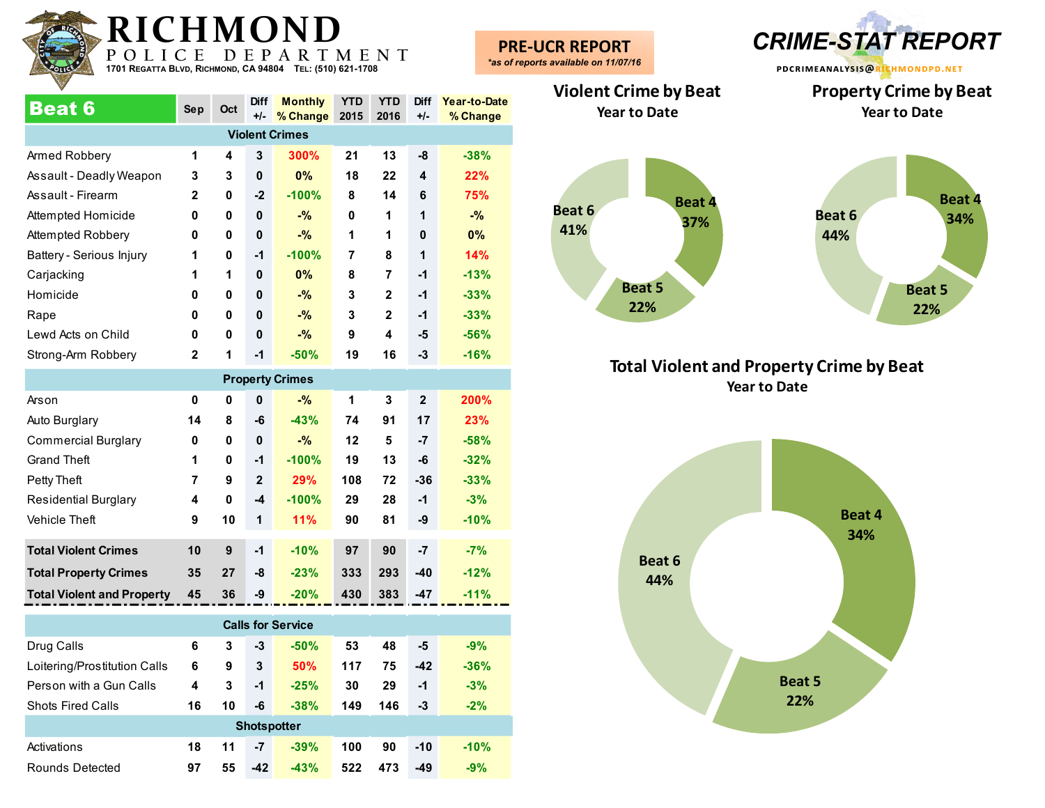

| <b>Beat 6</b>            | <b>Sep</b>   | Oct | <b>Diff</b><br>$+/-$ | <b>Monthly</b><br>% Change | <b>YTD</b><br>2015 | <b>YTD</b><br>2016 | <b>Diff</b><br>+/- | Year-to-Date<br>% Change |
|--------------------------|--------------|-----|----------------------|----------------------------|--------------------|--------------------|--------------------|--------------------------|
|                          |              |     |                      | <b>Violent Crimes</b>      |                    |                    |                    |                          |
| Armed Robbery            | 1            | 4   | 3                    | 300%                       | 21                 | 13                 | -8                 | $-38%$                   |
| Assault - Deadly Weapon  | 3            | 3   | $\mathbf{0}$         | 0%                         | 18                 | 22                 | 4                  | 22%                      |
| Assault - Firearm        | $\mathbf{2}$ | 0   | $-2$                 | $-100%$                    | 8                  | 14                 | 6                  | 75%                      |
| Attempted Homicide       | 0            | 0   | $\mathbf{0}$         | $-$ %                      | 0                  | 1                  | 1                  | $-$ %                    |
| Attempted Robbery        | 0            | 0   | $\mathbf{0}$         | $-$ %                      | 1                  | 1                  | 0                  | $0\%$                    |
| Battery - Serious Injury | 1            | 0   | $-1$                 | $-100%$                    | 7                  | 8                  | 1                  | 14%                      |
| Carjacking               | 1            | 1   | $\mathbf{0}$         | 0%                         | 8                  | 7                  | $-1$               | $-13%$                   |
| Homicide                 | 0            | 0   | $\mathbf{0}$         | $-$ %                      | 3                  | $\overline{2}$     | $-1$               | $-33%$                   |
| Rape                     | 0            | 0   | $\mathbf{0}$         | $-$ %                      | 3                  | $\mathbf{2}$       | $-1$               | $-33%$                   |
| Lewd Acts on Child       | 0            | 0   | $\mathbf{0}$         | $-$ %                      | 9                  | 4                  | -5                 | $-56%$                   |
| Strong-Arm Robbery       | $\mathbf{2}$ | 1   | $-1$                 | $-50%$                     | 19                 | 16                 | -3                 | $-16%$                   |
|                          |              |     |                      | <b>Dronorty Crimpe</b>     |                    |                    |                    |                          |

| <b>Property Crimes</b>            |    |    |              |         |     |     |              |        |  |  |  |
|-----------------------------------|----|----|--------------|---------|-----|-----|--------------|--------|--|--|--|
| Arson                             | 0  | 0  | $\mathbf{0}$ | $-$ %   | 1   | 3   | $\mathbf{2}$ | 200%   |  |  |  |
| Auto Burglary                     | 14 | 8  | -6           | $-43%$  | 74  | 91  | 17           | 23%    |  |  |  |
| <b>Commercial Burglary</b>        | 0  | 0  | $\mathbf{0}$ | $-$ %   | 12  | 5   | -7           | $-58%$ |  |  |  |
| <b>Grand Theft</b>                | 1  | 0  | $-1$         | $-100%$ | 19  | 13  | -6           | $-32%$ |  |  |  |
| Petty Theft                       | 7  | 9  | $\mathbf{2}$ | 29%     | 108 | 72  | $-36$        | $-33%$ |  |  |  |
| <b>Residential Burglary</b>       | 4  | 0  | $-4$         | $-100%$ | 29  | 28  | $-1$         | $-3%$  |  |  |  |
| <b>Vehicle Theft</b>              | 9  | 10 | 1            | 11%     | 90  | 81  | -9           | $-10%$ |  |  |  |
| <b>Total Violent Crimes</b>       | 10 | 9  | $-1$         | $-10%$  | 97  | 90  | $-7$         | $-7%$  |  |  |  |
|                                   |    |    |              |         |     |     |              |        |  |  |  |
| <b>Total Property Crimes</b>      | 35 | 27 | -8           | $-23%$  | 333 | 293 | $-40$        | $-12%$ |  |  |  |
| <b>Total Violent and Property</b> | 45 | 36 | -9           | $-20%$  | 430 | 383 | $-47$        | $-11%$ |  |  |  |

| <b>Calls for Service</b>     |    |    |                    |        |     |     |       |        |  |  |  |
|------------------------------|----|----|--------------------|--------|-----|-----|-------|--------|--|--|--|
| Drug Calls                   | 6  | 3  | -3                 | $-50%$ | 53  | 48  | -5    | $-9%$  |  |  |  |
| Loitering/Prostitution Calls | 6  | 9  | 3                  | 50%    | 117 | 75  | $-42$ | $-36%$ |  |  |  |
| Person with a Gun Calls      | 4  | 3  | $-1$               | $-25%$ | 30  | 29  | $-1$  | $-3%$  |  |  |  |
| <b>Shots Fired Calls</b>     | 16 | 10 | -6                 | $-38%$ | 149 | 146 | $-3$  | $-2%$  |  |  |  |
|                              |    |    | <b>Shotspotter</b> |        |     |     |       |        |  |  |  |
| Activations                  | 18 | 11 | -7                 | $-39%$ | 100 | 90  | $-10$ | $-10%$ |  |  |  |
| Rounds Detected              | 97 | 55 | $-42$              | $-43%$ | 522 | 473 | $-49$ | $-9%$  |  |  |  |

**PRE-UCR REPORT** *\*as of reports available on 11/07/16*



**Violent Crime by Beat Year to Date**





### **Total Violent and Property Crime by Beat Year to Date**

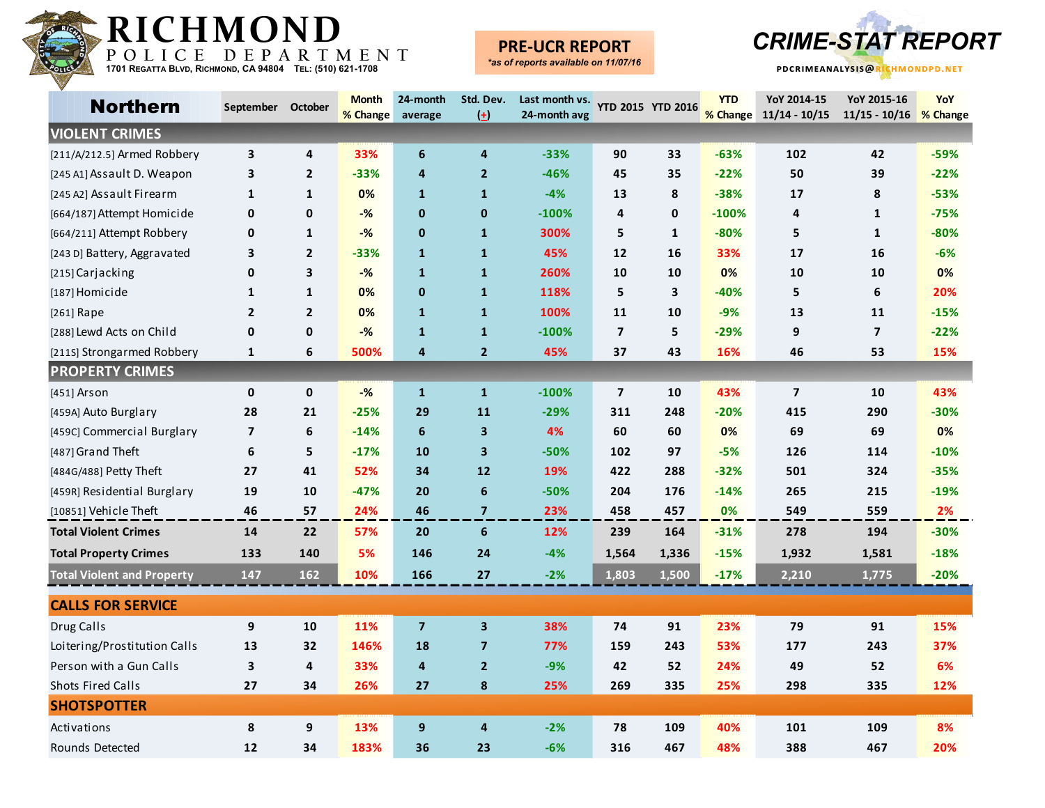

## **PRE-UCR REPORT**



| <b>Northern</b>                   | September October       |                | <b>Month</b> | 24-month                | Std. Dev.               | Last month vs. |                         | <b>YTD 2015 YTD 2016</b> | <b>YTD</b> | YoY 2014-15             | YoY 2015-16            | YoY    |
|-----------------------------------|-------------------------|----------------|--------------|-------------------------|-------------------------|----------------|-------------------------|--------------------------|------------|-------------------------|------------------------|--------|
|                                   |                         |                | % Change     | average                 | $\left( \pm \right)$    | 24-month avg   |                         |                          | % Change   | $11/14 - 10/15$         | 11/15 - 10/16 % Change |        |
| <b>VIOLENT CRIMES</b>             |                         |                |              |                         |                         |                |                         |                          |            |                         |                        |        |
| [211/A/212.5] Armed Robbery       | 3                       | 4              | 33%          | 6                       | 4                       | $-33%$         | 90                      | 33                       | $-63%$     | 102                     | 42                     | $-59%$ |
| [245 A1] Assault D. Weapon        | 3                       | $\mathbf{2}$   | $-33%$       | $\overline{4}$          | $\overline{2}$          | $-46%$         | 45                      | 35                       | $-22%$     | 50                      | 39                     | $-22%$ |
| [245 A2] Assault Firearm          | $\mathbf{1}$            | $\mathbf{1}$   | 0%           | $\mathbf{1}$            | $\mathbf{1}$            | $-4%$          | 13                      | 8                        | $-38%$     | 17                      | 8                      | $-53%$ |
| [664/187] Attempt Homicide        | 0                       | 0              | $-%$         | $\mathbf 0$             | $\mathbf 0$             | $-100%$        | 4                       | 0                        | $-100%$    | 4                       | 1                      | $-75%$ |
| [664/211] Attempt Robbery         | 0                       | $\mathbf{1}$   | $-%$         | $\mathbf 0$             | $\mathbf{1}$            | 300%           | 5                       | $\mathbf{1}$             | $-80%$     | 5                       | $\mathbf{1}$           | $-80%$ |
| [243 D] Battery, Aggravated       | 3                       | $\mathbf{2}$   | $-33%$       | $\mathbf{1}$            | $\mathbf{1}$            | 45%            | 12                      | 16                       | 33%        | 17                      | 16                     | $-6%$  |
| [215] Carjacking                  | $\mathbf 0$             | 3              | $-%$         | $\mathbf{1}$            | $\mathbf{1}$            | 260%           | 10                      | 10                       | 0%         | 10                      | 10                     | 0%     |
| [187] Homicide                    | 1                       | $\mathbf{1}$   | 0%           | $\pmb{0}$               | $\mathbf{1}$            | 118%           | 5                       | 3                        | $-40%$     | 5                       | 6                      | 20%    |
| [261] Rape                        | $\mathbf{2}$            | $\overline{2}$ | 0%           | $\mathbf{1}$            | $\mathbf{1}$            | 100%           | 11                      | 10                       | $-9%$      | 13                      | 11                     | $-15%$ |
| [288] Lewd Acts on Child          | $\pmb{0}$               | $\mathbf 0$    | $-%$         | $\mathbf{1}$            | $\mathbf{1}$            | $-100%$        | $\overline{\mathbf{z}}$ | 5                        | $-29%$     | 9                       | $\overline{7}$         | $-22%$ |
| [211S] Strongarmed Robbery        | $\mathbf{1}$            | 6              | 500%         | 4                       | $\overline{2}$          | 45%            | 37                      | 43                       | 16%        | 46                      | 53                     | 15%    |
| <b>PROPERTY CRIMES</b>            |                         |                |              |                         |                         |                |                         |                          |            |                         |                        |        |
| $[451]$ Arson                     | $\pmb{0}$               | 0              | $-%$         | $\mathbf{1}$            | $\mathbf{1}$            | $-100%$        | $\overline{\mathbf{z}}$ | 10                       | 43%        | $\overline{\mathbf{z}}$ | 10                     | 43%    |
| [459A] Auto Burglary              | 28                      | 21             | $-25%$       | 29                      | 11                      | $-29%$         | 311                     | 248                      | $-20%$     | 415                     | 290                    | $-30%$ |
| [459C] Commercial Burglary        | $\overline{\mathbf{z}}$ | 6              | $-14%$       | 6                       | $\overline{\mathbf{3}}$ | 4%             | 60                      | 60                       | 0%         | 69                      | 69                     | 0%     |
| [487] Grand Theft                 | 6                       | 5              | $-17%$       | 10                      | 3                       | $-50%$         | 102                     | 97                       | $-5%$      | 126                     | 114                    | $-10%$ |
| [484G/488] Petty Theft            | 27                      | 41             | 52%          | 34                      | 12                      | 19%            | 422                     | 288                      | $-32%$     | 501                     | 324                    | $-35%$ |
| [459R] Residential Burglary       | 19                      | 10             | $-47%$       | 20                      | $\boldsymbol{6}$        | $-50%$         | 204                     | 176                      | $-14%$     | 265                     | 215                    | $-19%$ |
| [10851] Vehicle Theft             | 46                      | 57             | 24%          | 46                      | $\overline{\mathbf{z}}$ | 23%            | 458                     | 457                      | 0%         | 549                     | 559                    | 2%     |
| <b>Total Violent Crimes</b>       | 14                      | 22             | 57%          | 20                      | $6\phantom{a}$          | 12%            | 239                     | 164                      | $-31%$     | 278                     | 194                    | $-30%$ |
| <b>Total Property Crimes</b>      | 133                     | 140            | 5%           | 146                     | 24                      | $-4%$          | 1,564                   | 1,336                    | $-15%$     | 1,932                   | 1,581                  | $-18%$ |
| <b>Total Violent and Property</b> | 147                     | 162            | 10%          | 166                     | 27                      | $-2%$          | 1,803                   | 1,500                    | $-17%$     | 2,210                   | 1,775                  | $-20%$ |
| <b>CALLS FOR SERVICE</b>          |                         |                |              |                         |                         |                |                         |                          |            |                         |                        |        |
| Drug Calls                        | 9                       | 10             | 11%          | $\overline{\mathbf{z}}$ | 3                       | 38%            | 74                      | 91                       | 23%        | 79                      | 91                     | 15%    |
| Loitering/Prostitution Calls      | 13                      | 32             | 146%         | 18                      | $\overline{\mathbf{z}}$ | 77%            | 159                     | 243                      | 53%        | 177                     | 243                    | 37%    |
| Person with a Gun Calls           | 3                       | 4              | 33%          | $\overline{\mathbf{a}}$ | $\overline{2}$          | $-9%$          | 42                      | 52                       | 24%        | 49                      | 52                     | 6%     |
| <b>Shots Fired Calls</b>          | 27                      | 34             | 26%          | 27                      | 8                       | 25%            | 269                     | 335                      | 25%        | 298                     | 335                    | 12%    |
| <b>SHOTSPOTTER</b>                |                         |                |              |                         |                         |                |                         |                          |            |                         |                        |        |
| Activations                       | 8                       | 9              | 13%          | $\boldsymbol{9}$        | $\overline{4}$          | $-2%$          | 78                      | 109                      | 40%        | 101                     | 109                    | 8%     |
| Rounds Detected                   | 12                      | 34             | 183%         | 36                      | 23                      | $-6%$          | 316                     | 467                      | 48%        | 388                     | 467                    | 20%    |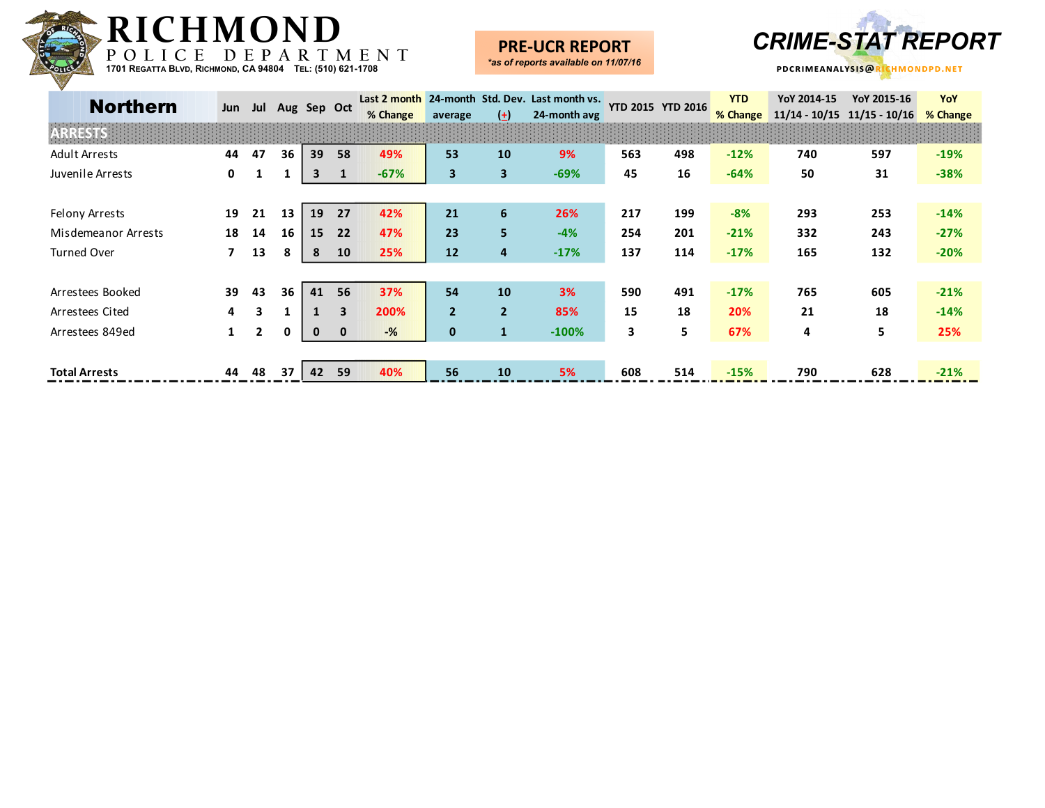

### **PRE-UCR REPORT**



| <b>Northern</b>       | Jun | Jul            |    | Aug Sep Oct |                         | Last 2 month<br>% Change | average        | $(\pm)$        | 24-month Std. Dev. Last month vs.<br>24-month avg |     | <b>YTD 2015 YTD 2016</b> | <b>YTD</b><br>% Change | YoY 2014-15<br>$11/14 - 10/15$ | YoY 2015-16<br>$11/15 - 10/16$ | YoY<br>% Change |
|-----------------------|-----|----------------|----|-------------|-------------------------|--------------------------|----------------|----------------|---------------------------------------------------|-----|--------------------------|------------------------|--------------------------------|--------------------------------|-----------------|
|                       |     |                |    |             |                         |                          |                |                |                                                   |     |                          |                        |                                |                                |                 |
| <b>Adult Arrests</b>  | 44  | 47             | 36 | 39          | 58                      | 49%                      | 53             | 10             | 9%                                                | 563 | 498                      | $-12%$                 | 740                            | 597                            | $-19%$          |
| Juvenile Arrests      | 0   | 1              |    | 3           | $\mathbf{1}$            | $-67%$                   | 3              | $\mathbf{3}$   | $-69%$                                            | 45  | 16                       | $-64%$                 | 50                             | 31                             | $-38%$          |
|                       |     |                |    |             |                         |                          |                |                |                                                   |     |                          |                        |                                |                                |                 |
| <b>Felony Arrests</b> | 19  | 21             | 13 | 19          | 27                      | 42%                      | 21             | 6              | 26%                                               | 217 | 199                      | $-8%$                  | 293                            | 253                            | $-14%$          |
| Misdemeanor Arrests   | 18  | 14             | 16 | 15          | 22                      | 47%                      | 23             | 5              | $-4%$                                             | 254 | 201                      | $-21%$                 | 332                            | 243                            | $-27%$          |
| Turned Over           | 7   | 13             | 8  | 8           | 10                      | 25%                      | 12             | 4              | $-17%$                                            | 137 | 114                      | $-17%$                 | 165                            | 132                            | $-20%$          |
|                       |     |                |    |             |                         |                          |                |                |                                                   |     |                          |                        |                                |                                |                 |
| Arrestees Booked      | 39  | 43             | 36 | 41          | 56                      | 37%                      | 54             | 10             | 3%                                                | 590 | 491                      | $-17%$                 | 765                            | 605                            | $-21%$          |
| Arrestees Cited       | 4   | 3              |    |             | $\overline{\mathbf{3}}$ | 200%                     | $\overline{2}$ | $\overline{2}$ | 85%                                               | 15  | 18                       | 20%                    | 21                             | 18                             | $-14%$          |
| Arrestees 849ed       |     | $\overline{2}$ | 0  | $\mathbf 0$ | $\mathbf{0}$            | $-%$                     | $\mathbf 0$    | $\mathbf{1}$   | $-100%$                                           | 3   | 5                        | 67%                    | 4                              | 5                              | 25%             |
|                       |     |                |    |             |                         |                          |                |                |                                                   |     |                          |                        |                                |                                |                 |
| <b>Total Arrests</b>  | 44  | 48             | 37 | 42          | 59                      | 40%                      | 56             | 10             | 5%                                                | 608 | 514                      | $-15%$                 | 790                            | 628                            | $-21%$          |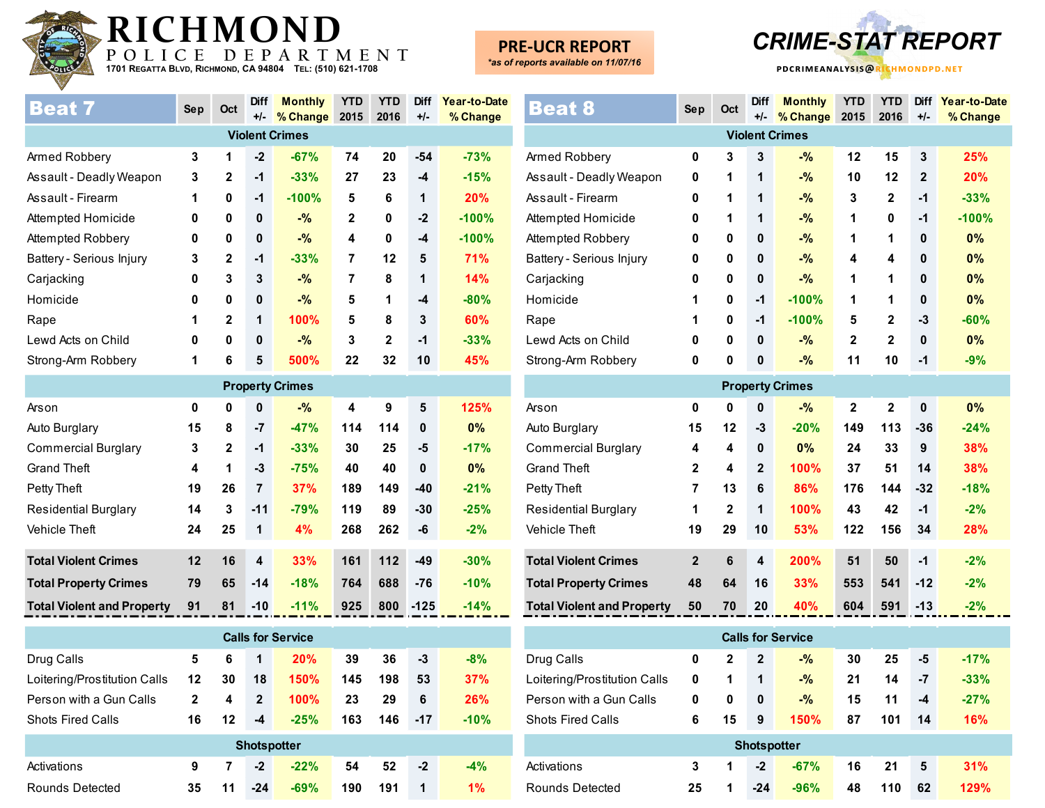

# **PRE-UCR REPORT**

*\*as of reports available on 11/07/16*



| <b>Beat 7</b>            | Sep | Oct          | <b>Diff</b> | <b>Monthly</b>        | <b>YTD</b>     | <b>YTD</b>   | <b>Diff</b> | Year-to-Date |
|--------------------------|-----|--------------|-------------|-----------------------|----------------|--------------|-------------|--------------|
|                          |     |              | $+/-$       | % Change              | 2015           | 2016         | $+/-$       | % Change     |
|                          |     |              |             | <b>Violent Crimes</b> |                |              |             |              |
| Armed Robbery            | 3   | 1            | $-2$        | $-67%$                | 74             | 20           | $-54$       | $-73%$       |
| Assault - Deadly Weapon  | 3   | $\mathbf{2}$ | $-1$        | $-33%$                | 27             | 23           | $-4$        | $-15%$       |
| Assault - Firearm        | 1   | 0            | $-1$        | $-100%$               | 5              | 6            | 1           | 20%          |
| Attempted Homicide       | 0   | 0            | 0           | $-$ %                 | $\mathbf{2}$   | 0            | $-2$        | $-100%$      |
| Attempted Robbery        | 0   | 0            | 0           | $-$ %                 | 4              | 0            | $-4$        | $-100%$      |
| Battery - Serious Injury | 3   | $\mathbf{2}$ | -1          | $-33%$                | 7              | 12           | 5           | <b>71%</b>   |
| Carjacking               | 0   | 3            | 3           | $-$ %                 | $\overline{7}$ | 8            | 1           | 14%          |
| Homicide                 | 0   | 0            | 0           | $-$ %                 | 5              | 1            | $-4$        | $-80%$       |
| Rape                     | 1   | $\mathbf{2}$ | 1           | 100%                  | 5              | 8            | 3           | 60%          |
| Lewd Acts on Child       | 0   | 0            | 0           | $-$ %                 | 3              | $\mathbf{2}$ | $-1$        | $-33%$       |
| Strong-Arm Robbery       | 1   | 6            | 5           | 500%                  | 22             | 32           | 10          | 45%          |

| <b>Property Crimes</b>            |    |              |                |        |     |     |        |        |  |  |
|-----------------------------------|----|--------------|----------------|--------|-----|-----|--------|--------|--|--|
| Arson                             | 0  | 0            | $\bf{0}$       | $-$ %  | 4   | 9   | 5      | 125%   |  |  |
| Auto Burglary                     | 15 | 8            | $-7$           | $-47%$ | 114 | 114 | 0      | $0\%$  |  |  |
| Commercial Burglary               | 3  | $\mathbf{2}$ | $-1$           | $-33%$ | 30  | 25  | $-5$   | $-17%$ |  |  |
| <b>Grand Theft</b>                | 4  | 1            | $-3$           | $-75%$ | 40  | 40  | 0      | $0\%$  |  |  |
| Petty Theft                       | 19 | 26           | $\overline{7}$ | 37%    | 189 | 149 | $-40$  | $-21%$ |  |  |
| <b>Residential Burglary</b>       | 14 | 3            | $-11$          | $-79%$ | 119 | 89  | $-30$  | $-25%$ |  |  |
| <b>Vehicle Theft</b>              | 24 | 25           | 1              | 4%     | 268 | 262 | -6     | $-2%$  |  |  |
|                                   |    |              |                |        |     |     |        |        |  |  |
| <b>Total Violent Crimes</b>       | 12 | 16           | 4              | 33%    | 161 | 112 | $-49$  | $-30%$ |  |  |
| <b>Total Property Crimes</b>      | 79 | 65           | $-14$          | $-18%$ | 764 | 688 | $-76$  | $-10%$ |  |  |
| <b>Total Violent and Property</b> | 91 | 81           | $-10$          | $-11%$ | 925 | 800 | $-125$ | $-14%$ |  |  |

| <b>Calls for Service</b>     |              |    |                    |        |     |     |       |        |  |  |  |
|------------------------------|--------------|----|--------------------|--------|-----|-----|-------|--------|--|--|--|
| Drug Calls                   | 5            | 6  | 1                  | 20%    | 39  | 36  | -3    | $-8%$  |  |  |  |
| Loitering/Prostitution Calls | 12           | 30 | 18                 | 150%   | 145 | 198 | 53    | 37%    |  |  |  |
| Person with a Gun Calls      | $\mathbf{2}$ | 4  | $\mathbf{2}$       | 100%   | 23  | 29  | 6     | 26%    |  |  |  |
| <b>Shots Fired Calls</b>     | 16           | 12 | -4                 | $-25%$ | 163 | 146 | $-17$ | $-10%$ |  |  |  |
|                              |              |    | <b>Shotspotter</b> |        |     |     |       |        |  |  |  |
| Activations                  | 9            | 7  | $-2$               | $-22%$ | 54  | 52  | -2    | $-4%$  |  |  |  |
| Rounds Detected              | 35           | 11 | $-24$              | $-69%$ | 190 | 191 | 1     | $1\%$  |  |  |  |

| <b>Beat 8</b>                     | <b>Sep</b>   | Oct            | <b>Diff</b><br>$+/-$ | <b>Monthly</b><br>% Change | <b>YTD</b><br>2015 | <b>YTD</b><br>2016      | <b>Diff</b><br>$+/-$ | Year-to-Date<br>% Change |
|-----------------------------------|--------------|----------------|----------------------|----------------------------|--------------------|-------------------------|----------------------|--------------------------|
|                                   |              |                |                      | <b>Violent Crimes</b>      |                    |                         |                      |                          |
| Armed Robbery                     | 0            | 3              | 3                    | $-$ %                      | 12                 | 15                      | 3                    | 25%                      |
| Assault - Deadly Weapon           | 0            | 1              | 1                    | $-9/6$                     | 10                 | 12                      | $\overline{2}$       | 20%                      |
| Assault - Firearm                 | 0            | 1              | 1                    | $-$ %                      | 3                  | $\mathbf{2}$            | $-1$                 | $-33%$                   |
| Attempted Homicide                | 0            | 1              | 1                    | $-$ %                      | 1                  | 0                       | -1                   | $-100%$                  |
| Attempted Robbery                 | 0            | 0              | 0                    | $-$ %                      | 1                  | 1                       | $\mathbf{0}$         | 0%                       |
| Battery - Serious Injury          | 0            | 0              | 0                    | $-$ %                      | 4                  | 4                       | 0                    | 0%                       |
| Carjacking                        | 0            | 0              | 0                    | $-$ %                      | 1                  | 1                       | 0                    | 0%                       |
| Homicide                          | 1            | 0              | $-1$                 | $-100%$                    | 1                  | 1                       | $\mathbf{0}$         | 0%                       |
| Rape                              | 1            | 0              | $-1$                 | $-100%$                    | 5                  | $\mathbf 2$             | $-3$                 | $-60%$                   |
| Lewd Acts on Child                | 0            | 0              | 0                    | $-$ %                      | $\mathbf{2}$       | $\mathbf{2}$            | $\mathbf{0}$         | 0%                       |
| Strong-Arm Robbery                | 0            | 0              | $\bf{0}$             | $-$ %                      | 11                 | 10                      | $-1$                 | $-9%$                    |
|                                   |              |                |                      | <b>Property Crimes</b>     |                    |                         |                      |                          |
| Arson                             | $\mathbf 0$  | 0              | 0                    | $-$ %                      | $\mathbf 2$        | $\overline{\mathbf{2}}$ | $\mathbf 0$          | 0%                       |
| Auto Burglary                     | 15           | 12             | -3                   | $-20%$                     | 149                | 113                     | $-36$                | $-24%$                   |
| <b>Commercial Burglary</b>        | 4            | 4              | 0                    | 0%                         | 24                 | 33                      | 9                    | 38%                      |
| <b>Grand Theft</b>                | $\mathbf 2$  | 4              | $\mathbf{2}$         | 100%                       | 37                 | 51                      | 14                   | 38%                      |
| Petty Theft                       | 7            | 13             | 6                    | 86%                        | 176                | 144                     | $-32$                | $-18%$                   |
| <b>Residential Burglary</b>       | 1            | $\overline{2}$ | 1                    | 100%                       | 43                 | 42                      | $-1$                 | $-2%$                    |
| <b>Vehicle Theft</b>              | 19           | 29             | 10                   | 53%                        | 122                | 156                     | 34                   | 28%                      |
| <b>Total Violent Crimes</b>       | $\mathbf{2}$ | 6              | 4                    | 200%                       | 51                 | 50                      | $-1$                 | $-2%$                    |
| <b>Total Property Crimes</b>      | 48           | 64             | 16                   | 33%                        | 553                | 541                     | $-12$                | $-2%$                    |
| <b>Total Violent and Property</b> | 50           | 70             | 20                   | 40%                        | 604                | 591                     | $-13$                | $-2%$                    |

Drug Calls **0 2 2 -% 30 25 -5 -17%** Loitering/Prostitution Calls **0 1 1 -% 21 14 -7 -33%** Person with a Gun Calls **0 0 0 -% 15 11 -4 -27%** Shots Fired Calls **6 15 9 150% 87 101 14 16%** Activations **3 1 -2 -67% 16 21 5 31%** Rounds Detected **25 1 -24 -96% 48 110 62 129% Shotspotter Calls for Service**